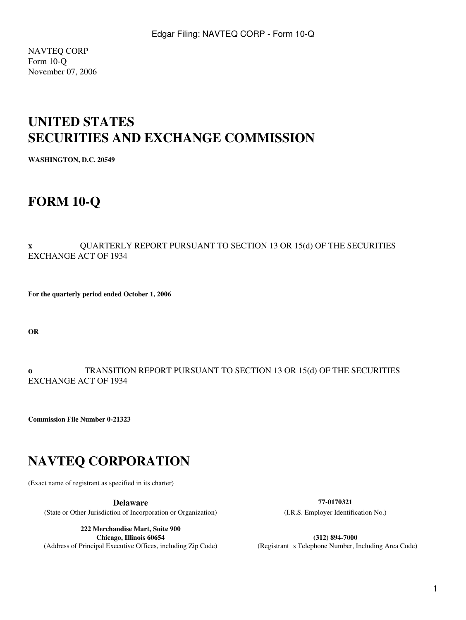NAVTEQ CORP Form 10-Q November 07, 2006

# **UNITED STATES SECURITIES AND EXCHANGE COMMISSION**

**WASHINGTON, D.C. 20549**

# **FORM 10-Q**

### **x** QUARTERLY REPORT PURSUANT TO SECTION 13 OR 15(d) OF THE SECURITIES EXCHANGE ACT OF 1934

**For the quarterly period ended October 1, 2006**

**OR**

### **o** TRANSITION REPORT PURSUANT TO SECTION 13 OR 15(d) OF THE SECURITIES EXCHANGE ACT OF 1934

**Commission File Number 0-21323**

# **NAVTEQ CORPORATION**

(Exact name of registrant as specified in its charter)

(State or Other Jurisdiction of Incorporation or Organization) (I.R.S. Employer Identification No.)

**222 Merchandise Mart, Suite 900 Chicago, Illinois 60654 (312) 894-7000**<br>(Address of Principal Executive Offices, including Zip Code) **(Registrant s Telephone Number, I** 

**Delaware 77-0170321**

(Registrant s Telephone Number, Including Area Code)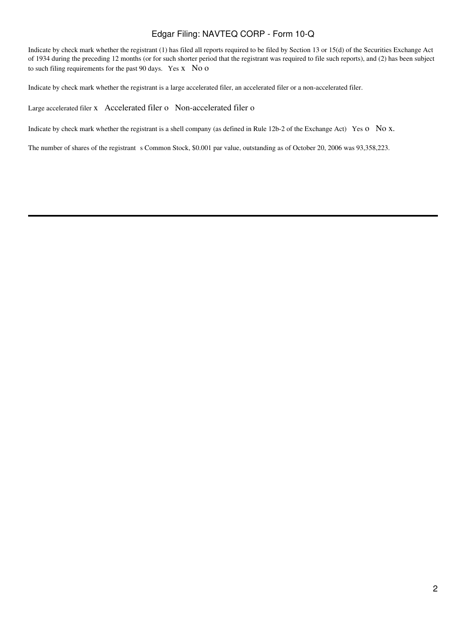Indicate by check mark whether the registrant (1) has filed all reports required to be filed by Section 13 or 15(d) of the Securities Exchange Act of 1934 during the preceding 12 months (or for such shorter period that the registrant was required to file such reports), and (2) has been subject to such filing requirements for the past 90 days. Yes x No o

Indicate by check mark whether the registrant is a large accelerated filer, an accelerated filer or a non-accelerated filer.

Large accelerated filer x Accelerated filer o Non-accelerated filer o

Indicate by check mark whether the registrant is a shell company (as defined in Rule 12b-2 of the Exchange Act) Yes o No x.

The number of shares of the registrant s Common Stock, \$0.001 par value, outstanding as of October 20, 2006 was 93,358,223.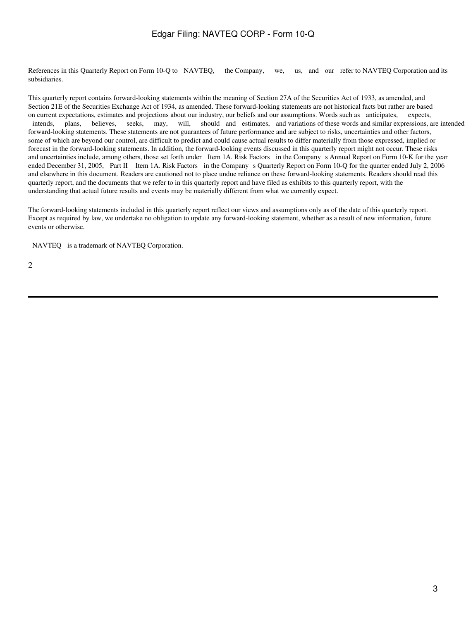References in this Quarterly Report on Form 10-Q to NAVTEQ, the Company, we, us, and our refer to NAVTEQ Corporation and its subsidiaries.

This quarterly report contains forward-looking statements within the meaning of Section 27A of the Securities Act of 1933, as amended, and Section 21E of the Securities Exchange Act of 1934, as amended. These forward-looking statements are not historical facts but rather are based on current expectations, estimates and projections about our industry, our beliefs and our assumptions. Words such as anticipates, expects, intends, plans, believes, seeks, may, will, should and estimates, and variations of these words and similar expressions, are intended forward-looking statements. These statements are not guarantees of future performance and are subject to risks, uncertainties and other factors, some of which are beyond our control, are difficult to predict and could cause actual results to differ materially from those expressed, implied or forecast in the forward-looking statements. In addition, the forward-looking events discussed in this quarterly report might not occur. These risks and uncertainties include, among others, those set forth under Item 1A. Risk Factors in the Company s Annual Report on Form 10-K for the year ended December 31, 2005, Part II Item 1A. Risk Factors in the Company s Quarterly Report on Form 10-Q for the quarter ended July 2, 2006 and elsewhere in this document. Readers are cautioned not to place undue reliance on these forward-looking statements. Readers should read this quarterly report, and the documents that we refer to in this quarterly report and have filed as exhibits to this quarterly report, with the understanding that actual future results and events may be materially different from what we currently expect.

The forward-looking statements included in this quarterly report reflect our views and assumptions only as of the date of this quarterly report. Except as required by law, we undertake no obligation to update any forward-looking statement, whether as a result of new information, future events or otherwise.

NAVTEQ is a trademark of NAVTEQ Corporation.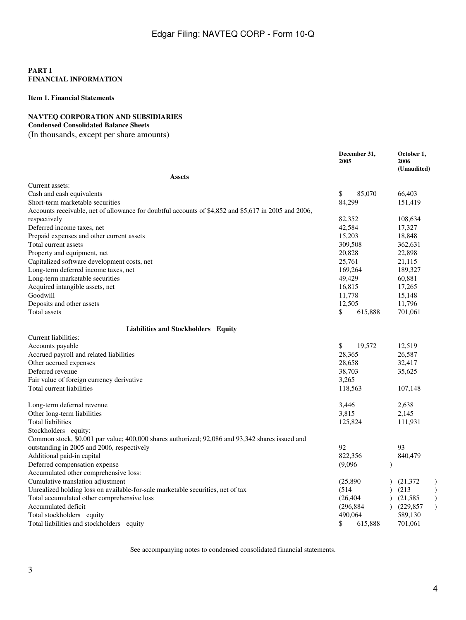### **PART I FINANCIAL INFORMATION**

### **Item 1. Financial Statements**

### **NAVTEQ CORPORATION AND SUBSIDIARIES**

# **Condensed Consolidated Balance Sheets**

(In thousands, except per share amounts)

|                                                                                                      | December 31,<br>2005 | October 1,<br>2006<br>(Unaudited)       |
|------------------------------------------------------------------------------------------------------|----------------------|-----------------------------------------|
| Assets                                                                                               |                      |                                         |
| Current assets:                                                                                      |                      |                                         |
| Cash and cash equivalents                                                                            | \$<br>85,070         | 66,403                                  |
| Short-term marketable securities                                                                     | 84,299               | 151,419                                 |
| Accounts receivable, net of allowance for doubtful accounts of \$4,852 and \$5,617 in 2005 and 2006, |                      |                                         |
| respectively                                                                                         | 82,352               | 108,634                                 |
| Deferred income taxes, net                                                                           | 42,584               | 17,327                                  |
| Prepaid expenses and other current assets                                                            | 15,203               | 18,848                                  |
| Total current assets                                                                                 | 309,508              | 362,631                                 |
| Property and equipment, net                                                                          | 20,828               | 22,898                                  |
| Capitalized software development costs, net                                                          | 25,761               | 21,115                                  |
| Long-term deferred income taxes, net                                                                 | 169,264              | 189,327                                 |
| Long-term marketable securities                                                                      | 49,429               | 60,881                                  |
| Acquired intangible assets, net                                                                      | 16,815               | 17,265                                  |
| Goodwill                                                                                             | 11,778               | 15,148                                  |
| Deposits and other assets                                                                            | 12,505               | 11,796                                  |
| Total assets                                                                                         | \$<br>615,888        | 701,061                                 |
| Liabilities and Stockholders Equity                                                                  |                      |                                         |
| Current liabilities:                                                                                 |                      |                                         |
| Accounts payable                                                                                     | \$<br>19,572         | 12,519                                  |
| Accrued payroll and related liabilities                                                              | 28,365               | 26,587                                  |
| Other accrued expenses                                                                               | 28,658               | 32,417                                  |
| Deferred revenue                                                                                     | 38,703               | 35,625                                  |
| Fair value of foreign currency derivative                                                            | 3,265                |                                         |
| Total current liabilities                                                                            | 118,563              | 107,148                                 |
| Long-term deferred revenue                                                                           | 3,446                | 2,638                                   |
| Other long-term liabilities                                                                          | 3,815                | 2,145                                   |
| Total liabilities                                                                                    | 125,824              | 111,931                                 |
| Stockholders equity:                                                                                 |                      |                                         |
| Common stock, \$0.001 par value; 400,000 shares authorized; 92,086 and 93,342 shares issued and      |                      |                                         |
| outstanding in 2005 and 2006, respectively                                                           | 92                   | 93                                      |
| Additional paid-in capital                                                                           | 822,356              | 840,479                                 |
| Deferred compensation expense                                                                        | (9,096)              | $\lambda$                               |
| Accumulated other comprehensive loss:                                                                |                      |                                         |
| Cumulative translation adjustment                                                                    | (25, 890)            | (21, 372)<br>$\mathcal{C}$              |
| Unrealized holding loss on available-for-sale marketable securities, net of tax                      | (514)                | (213)<br>$\mathcal{E}$                  |
| Total accumulated other comprehensive loss                                                           | (26, 404)            | (21, 585)<br>$\mathcal{E}$<br>$\lambda$ |
| Accumulated deficit                                                                                  | (296, 884)           | $\mathcal{L}$<br>(229, 857)             |
| Total stockholders equity                                                                            | 490,064              | 589,130                                 |
| Total liabilities and stockholders equity                                                            | 615.888<br>\$        | 701,061                                 |

See accompanying notes to condensed consolidated financial statements.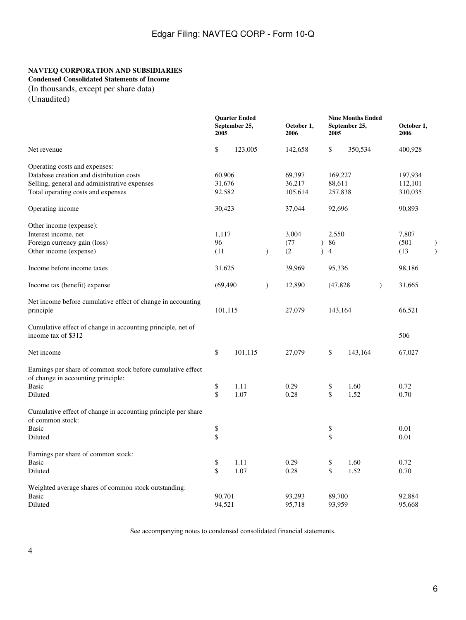### **NAVTEQ CORPORATION AND SUBSIDIARIES**

**Condensed Consolidated Statements of Income**

(In thousands, except per share data)

(Unaudited)

|                                                                                                   |           | <b>Quarter Ended</b><br>September 25,<br>2005 |               | October 1,<br>2006 |           | 2005           | <b>Nine Months Ended</b><br>September 25, |               | October 1,<br>2006 |  |
|---------------------------------------------------------------------------------------------------|-----------|-----------------------------------------------|---------------|--------------------|-----------|----------------|-------------------------------------------|---------------|--------------------|--|
| Net revenue                                                                                       | \$        | 123,005                                       |               | 142,658            |           | \$             | 350,534                                   |               | 400,928            |  |
| Operating costs and expenses:                                                                     |           |                                               |               |                    |           |                |                                           |               |                    |  |
| Database creation and distribution costs                                                          | 60,906    |                                               |               | 69,397             |           | 169,227        |                                           |               | 197,934            |  |
| Selling, general and administrative expenses                                                      | 31,676    |                                               |               | 36,217             |           | 88,611         |                                           |               | 112,101            |  |
| Total operating costs and expenses                                                                | 92,582    |                                               |               | 105,614            |           | 257,838        |                                           |               | 310,035            |  |
| Operating income                                                                                  | 30,423    |                                               |               | 37,044             |           | 92,696         |                                           |               | 90,893             |  |
| Other income (expense):                                                                           |           |                                               |               |                    |           |                |                                           |               |                    |  |
| Interest income, net                                                                              | 1,117     |                                               |               | 3,004              |           | 2,550          |                                           |               | 7,807              |  |
| Foreign currency gain (loss)                                                                      | 96        |                                               |               | (77)               |           | 686            |                                           |               | (501)              |  |
| Other income (expense)                                                                            | (11)      |                                               | $\mathcal{E}$ | (2)                | $\lambda$ | $\overline{4}$ |                                           |               | (13)               |  |
| Income before income taxes                                                                        | 31,625    |                                               |               | 39,969             |           | 95,336         |                                           |               | 98,186             |  |
| Income tax (benefit) expense                                                                      | (69, 490) |                                               | $\mathcal{E}$ | 12,890             |           | (47, 828)      |                                           | $\mathcal{E}$ | 31,665             |  |
| Net income before cumulative effect of change in accounting<br>principle                          | 101,115   |                                               |               | 27,079             |           | 143,164        |                                           |               | 66,521             |  |
| Cumulative effect of change in accounting principle, net of<br>income tax of \$312                |           |                                               |               |                    |           |                |                                           |               | 506                |  |
| Net income                                                                                        | \$        | 101,115                                       |               | 27,079             |           | \$             | 143,164                                   |               | 67,027             |  |
| Earnings per share of common stock before cumulative effect<br>of change in accounting principle: |           |                                               |               |                    |           |                |                                           |               |                    |  |
| <b>Basic</b>                                                                                      | \$        | 1.11                                          |               | 0.29               |           | \$             | 1.60                                      |               | 0.72               |  |
| Diluted                                                                                           | \$        | 1.07                                          |               | 0.28               |           | \$             | 1.52                                      |               | 0.70               |  |
| Cumulative effect of change in accounting principle per share<br>of common stock:                 |           |                                               |               |                    |           |                |                                           |               |                    |  |
| <b>Basic</b>                                                                                      | \$        |                                               |               |                    |           | \$             |                                           |               | 0.01               |  |
| Diluted                                                                                           | \$        |                                               |               |                    |           | \$             |                                           |               | 0.01               |  |
| Earnings per share of common stock:                                                               |           |                                               |               |                    |           |                |                                           |               |                    |  |
| <b>Basic</b>                                                                                      | \$        | 1.11                                          |               | 0.29               |           | \$             | 1.60                                      |               | 0.72               |  |
| Diluted                                                                                           | \$        | 1.07                                          |               | 0.28               |           | \$             | 1.52                                      |               | 0.70               |  |
| Weighted average shares of common stock outstanding:                                              |           |                                               |               |                    |           |                |                                           |               |                    |  |
| <b>Basic</b>                                                                                      | 90,701    |                                               |               | 93,293             |           | 89,700         |                                           |               | 92,884             |  |
| Diluted                                                                                           | 94,521    |                                               |               | 95,718             |           | 93,959         |                                           |               | 95,668             |  |

See accompanying notes to condensed consolidated financial statements.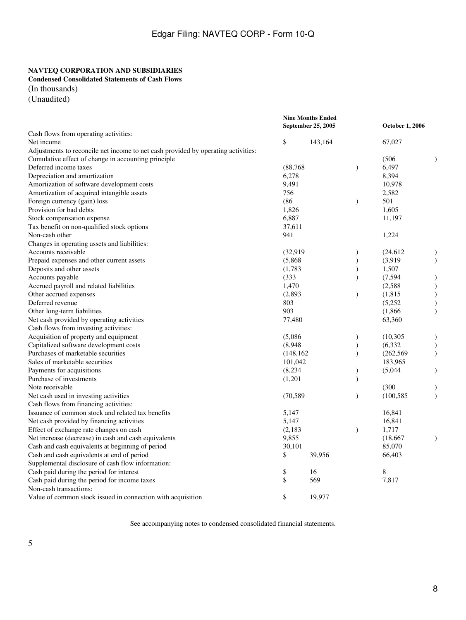### **NAVTEQ CORPORATION AND SUBSIDIARIES**

**Condensed Consolidated Statements of Cash Flows**

(In thousands)

(Unaudited)

|                                                                                   |            | <b>Nine Months Ended</b><br>September 25, 2005 | <b>October 1, 2006</b> |            |               |
|-----------------------------------------------------------------------------------|------------|------------------------------------------------|------------------------|------------|---------------|
| Cash flows from operating activities:                                             |            |                                                |                        |            |               |
| Net income                                                                        | \$         | 143,164                                        |                        | 67,027     |               |
| Adjustments to reconcile net income to net cash provided by operating activities: |            |                                                |                        |            |               |
| Cumulative effect of change in accounting principle                               |            |                                                |                        | (506)      |               |
| Deferred income taxes                                                             | (88, 768)  |                                                | $\mathcal{E}$          | 6,497      |               |
| Depreciation and amortization                                                     | 6,278      |                                                |                        | 8,394      |               |
| Amortization of software development costs                                        | 9,491      |                                                |                        | 10,978     |               |
| Amortization of acquired intangible assets                                        | 756        |                                                |                        | 2,582      |               |
| Foreign currency (gain) loss                                                      | (86)       |                                                | $\mathcal{E}$          | 501        |               |
| Provision for bad debts                                                           | 1,826      |                                                |                        | 1,605      |               |
| Stock compensation expense                                                        | 6,887      |                                                |                        | 11,197     |               |
| Tax benefit on non-qualified stock options                                        | 37,611     |                                                |                        |            |               |
| Non-cash other                                                                    | 941        |                                                |                        | 1,224      |               |
| Changes in operating assets and liabilities:                                      |            |                                                |                        |            |               |
| Accounts receivable                                                               | (32,919)   |                                                | $\mathcal{E}$          | (24, 612)  | $\lambda$     |
| Prepaid expenses and other current assets                                         | (5,868)    |                                                | $\mathcal{E}$          | (3,919)    | $\mathcal{E}$ |
| Deposits and other assets                                                         | (1,783)    |                                                | $\mathcal{E}$          | 1,507      |               |
| Accounts payable                                                                  | (333)      |                                                | $\lambda$              | (7, 594)   |               |
| Accrued payroll and related liabilities                                           | 1,470      |                                                |                        | (2,588)    | $\mathcal{E}$ |
| Other accrued expenses                                                            | (2,893)    |                                                | $\mathcal{E}$          | (1, 815)   | $\mathcal{E}$ |
| Deferred revenue                                                                  | 803        |                                                |                        | (5,252)    |               |
| Other long-term liabilities                                                       | 903        |                                                |                        | (1,866)    | $\mathcal{E}$ |
| Net cash provided by operating activities                                         | 77,480     |                                                |                        | 63,360     |               |
| Cash flows from investing activities:                                             |            |                                                |                        |            |               |
| Acquisition of property and equipment                                             | (5,086)    |                                                | $\mathcal{E}$          | (10, 305)  | $\mathcal{E}$ |
| Capitalized software development costs                                            | (8,948)    |                                                | $\mathcal{E}$          | (6, 332)   | $\mathcal{E}$ |
| Purchases of marketable securities                                                | (148, 162) |                                                | $\mathcal{E}$          | (262, 569) | $\mathcal{E}$ |
| Sales of marketable securities                                                    | 101,042    |                                                |                        | 183,965    |               |
| Payments for acquisitions                                                         | (8,234)    |                                                | $\mathcal{E}$          | (5,044)    | $\lambda$     |
| Purchase of investments                                                           | (1,201)    |                                                | $\lambda$              |            |               |
| Note receivable                                                                   |            |                                                |                        | (300)      | $\mathcal{E}$ |
| Net cash used in investing activities                                             | (70, 589)  |                                                | $\lambda$              | (100, 585) | $\lambda$     |
| Cash flows from financing activities:                                             |            |                                                |                        |            |               |
| Issuance of common stock and related tax benefits                                 | 5,147      |                                                |                        | 16,841     |               |
| Net cash provided by financing activities                                         | 5,147      |                                                |                        | 16,841     |               |
| Effect of exchange rate changes on cash                                           | (2,183)    |                                                | $\mathcal{E}$          | 1,717      |               |
| Net increase (decrease) in cash and cash equivalents                              | 9,855      |                                                |                        | (18, 667)  | $\lambda$     |
| Cash and cash equivalents at beginning of period                                  | 30,101     |                                                |                        | 85,070     |               |
| Cash and cash equivalents at end of period                                        | \$         | 39,956                                         |                        | 66,403     |               |
| Supplemental disclosure of cash flow information:                                 |            |                                                |                        |            |               |
| Cash paid during the period for interest                                          | \$         | 16                                             |                        | 8          |               |
| Cash paid during the period for income taxes                                      | \$         | 569                                            |                        | 7,817      |               |
| Non-cash transactions:                                                            |            |                                                |                        |            |               |
| Value of common stock issued in connection with acquisition                       | \$         | 19,977                                         |                        |            |               |

See accompanying notes to condensed consolidated financial statements.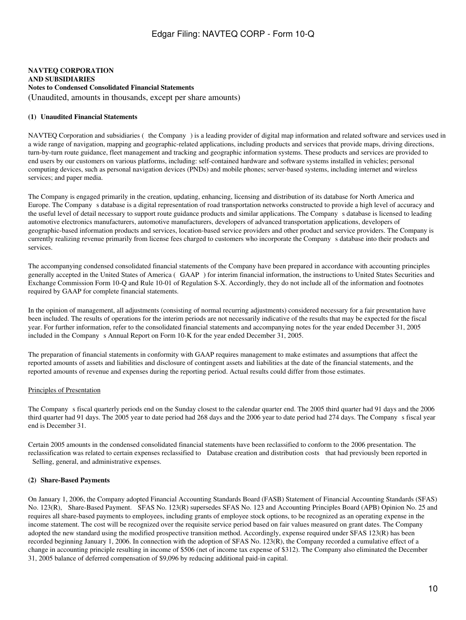### **NAVTEQ CORPORATION AND SUBSIDIARIES Notes to Condensed Consolidated Financial Statements** (Unaudited, amounts in thousands, except per share amounts)

### **(1)Unaudited Financial Statements**

NAVTEQ Corporation and subsidiaries (the Company) is a leading provider of digital map information and related software and services used in a wide range of navigation, mapping and geographic-related applications, including products and services that provide maps, driving directions, turn-by-turn route guidance, fleet management and tracking and geographic information systems. These products and services are provided to end users by our customers on various platforms, including: self-contained hardware and software systems installed in vehicles; personal computing devices, such as personal navigation devices (PNDs) and mobile phones; server-based systems, including internet and wireless services; and paper media.

The Company is engaged primarily in the creation, updating, enhancing, licensing and distribution of its database for North America and Europe. The Companys database is a digital representation of road transportation networks constructed to provide a high level of accuracy and the useful level of detail necessary to support route guidance products and similar applications. The Companys database is licensed to leading automotive electronics manufacturers, automotive manufacturers, developers of advanced transportation applications, developers of geographic-based information products and services, location-based service providers and other product and service providers. The Company is currently realizing revenue primarily from license fees charged to customers who incorporate the Companys database into their products and services.

The accompanying condensed consolidated financial statements of the Company have been prepared in accordance with accounting principles generally accepted in the United States of America (GAAP) for interim financial information, the instructions to United States Securities and Exchange Commission Form 10-Q and Rule 10-01 of Regulation S-X. Accordingly, they do not include all of the information and footnotes required by GAAP for complete financial statements.

In the opinion of management, all adjustments (consisting of normal recurring adjustments) considered necessary for a fair presentation have been included. The results of operations for the interim periods are not necessarily indicative of the results that may be expected for the fiscal year. For further information, refer to the consolidated financial statements and accompanying notes for the year ended December 31, 2005 included in the Company s Annual Report on Form 10-K for the year ended December 31, 2005.

The preparation of financial statements in conformity with GAAP requires management to make estimates and assumptions that affect the reported amounts of assets and liabilities and disclosure of contingent assets and liabilities at the date of the financial statements, and the reported amounts of revenue and expenses during the reporting period. Actual results could differ from those estimates.

### Principles of Presentation

The Company s fiscal quarterly periods end on the Sunday closest to the calendar quarter end. The 2005 third quarter had 91 days and the 2006 third quarter had 91 days. The 2005 year to date period had 268 days and the 2006 year to date period had 274 days. The Company s fiscal year end is December 31.

Certain 2005 amounts in the condensed consolidated financial statements have been reclassified to conform to the 2006 presentation. The reclassification was related to certain expenses reclassified to Database creation and distribution costs that had previously been reported in Selling, general, and administrative expenses.

### **(2) Share-Based Payments**

On January 1, 2006, the Company adopted Financial Accounting Standards Board (FASB) Statement of Financial Accounting Standards (SFAS) No. 123(R), Share-Based Payment. SFAS No. 123(R) supersedes SFAS No. 123 and Accounting Principles Board (APB) Opinion No. 25 and requires all share-based payments to employees, including grants of employee stock options, to be recognized as an operating expense in the income statement. The cost will be recognized over the requisite service period based on fair values measured on grant dates. The Company adopted the new standard using the modified prospective transition method. Accordingly, expense required under SFAS 123(R) has been recorded beginning January 1, 2006. In connection with the adoption of SFAS No. 123(R), the Company recorded a cumulative effect of a change in accounting principle resulting in income of \$506 (net of income tax expense of \$312). The Company also eliminated the December 31, 2005 balance of deferred compensation of \$9,096 by reducing additional paid-in capital.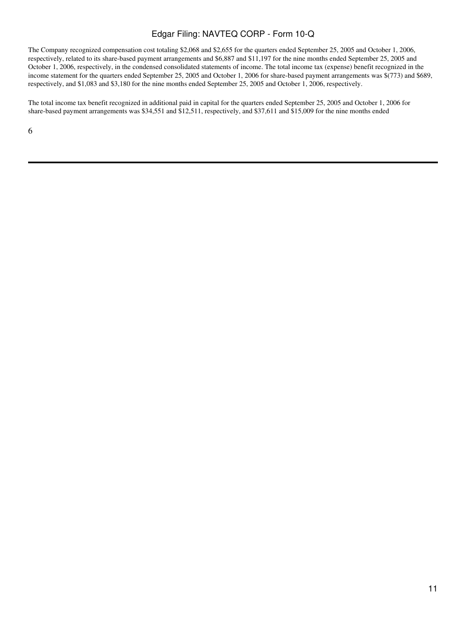The Company recognized compensation cost totaling \$2,068 and \$2,655 for the quarters ended September 25, 2005 and October 1, 2006, respectively, related to its share-based payment arrangements and \$6,887 and \$11,197 for the nine months ended September 25, 2005 and October 1, 2006, respectively, in the condensed consolidated statements of income. The total income tax (expense) benefit recognized in the income statement for the quarters ended September 25, 2005 and October 1, 2006 for share-based payment arrangements was \$(773) and \$689, respectively, and \$1,083 and \$3,180 for the nine months ended September 25, 2005 and October 1, 2006, respectively.

The total income tax benefit recognized in additional paid in capital for the quarters ended September 25, 2005 and October 1, 2006 for share-based payment arrangements was \$34,551 and \$12,511, respectively, and \$37,611 and \$15,009 for the nine months ended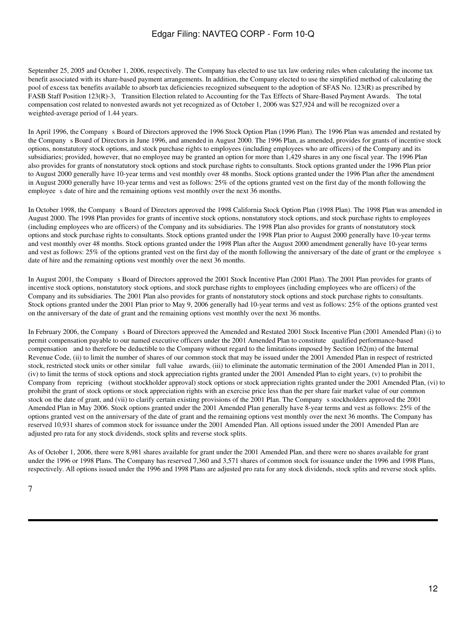September 25, 2005 and October 1, 2006, respectively. The Company has elected to use tax law ordering rules when calculating the income tax benefit associated with its share-based payment arrangements. In addition, the Company elected to use the simplified method of calculating the pool of excess tax benefits available to absorb tax deficiencies recognized subsequent to the adoption of SFAS No. 123(R) as prescribed by FASB Staff Position 123(R)-3, Transition Election related to Accounting for the Tax Effects of Share-Based Payment Awards. The total compensation cost related to nonvested awards not yet recognized as of October 1, 2006 was \$27,924 and will be recognized over a weighted-average period of 1.44 years.

In April 1996, the Company s Board of Directors approved the 1996 Stock Option Plan (1996 Plan). The 1996 Plan was amended and restated by the Company s Board of Directors in June 1996, and amended in August 2000. The 1996 Plan, as amended, provides for grants of incentive stock options, nonstatutory stock options, and stock purchase rights to employees (including employees who are officers) of the Company and its subsidiaries; provided, however, that no employee may be granted an option for more than 1,429 shares in any one fiscal year. The 1996 Plan also provides for grants of nonstatutory stock options and stock purchase rights to consultants. Stock options granted under the 1996 Plan prior to August 2000 generally have 10-year terms and vest monthly over 48 months. Stock options granted under the 1996 Plan after the amendment in August 2000 generally have 10-year terms and vest as follows: 25% of the options granted vest on the first day of the month following the employee s date of hire and the remaining options vest monthly over the next 36 months.

In October 1998, the Company s Board of Directors approved the 1998 California Stock Option Plan (1998 Plan). The 1998 Plan was amended in August 2000. The 1998 Plan provides for grants of incentive stock options, nonstatutory stock options, and stock purchase rights to employees (including employees who are officers) of the Company and its subsidiaries. The 1998 Plan also provides for grants of nonstatutory stock options and stock purchase rights to consultants. Stock options granted under the 1998 Plan prior to August 2000 generally have 10-year terms and vest monthly over 48 months. Stock options granted under the 1998 Plan after the August 2000 amendment generally have 10-year terms and vest as follows: 25% of the options granted vest on the first day of the month following the anniversary of the date of grant or the employees date of hire and the remaining options vest monthly over the next 36 months.

In August 2001, the Company s Board of Directors approved the 2001 Stock Incentive Plan (2001 Plan). The 2001 Plan provides for grants of incentive stock options, nonstatutory stock options, and stock purchase rights to employees (including employees who are officers) of the Company and its subsidiaries. The 2001 Plan also provides for grants of nonstatutory stock options and stock purchase rights to consultants. Stock options granted under the 2001 Plan prior to May 9, 2006 generally had 10-year terms and vest as follows: 25% of the options granted vest on the anniversary of the date of grant and the remaining options vest monthly over the next 36 months.

In February 2006, the Companys Board of Directors approved the Amended and Restated 2001 Stock Incentive Plan (2001 Amended Plan) (i) to permit compensation payable to our named executive officers under the 2001 Amended Plan to constitute qualified performance-based compensation and to therefore be deductible to the Company without regard to the limitations imposed by Section 162(m) of the Internal Revenue Code, (ii) to limit the number of shares of our common stock that may be issued under the 2001 Amended Plan in respect of restricted stock, restricted stock units or other similar full value awards, (iii) to eliminate the automatic termination of the 2001 Amended Plan in 2011, (iv) to limit the terms of stock options and stock appreciation rights granted under the 2001 Amended Plan to eight years, (v) to prohibit the Company from repricing (without stockholder approval) stock options or stock appreciation rights granted under the 2001 Amended Plan, (vi) to prohibit the grant of stock options or stock appreciation rights with an exercise price less than the per share fair market value of our common stock on the date of grant, and (vii) to clarify certain existing provisions of the 2001 Plan. The Company s stockholders approved the 2001 Amended Plan in May 2006. Stock options granted under the 2001 Amended Plan generally have 8-year terms and vest as follows: 25% of the options granted vest on the anniversary of the date of grant and the remaining options vest monthly over the next 36 months. The Company has reserved 10,931 shares of common stock for issuance under the 2001 Amended Plan. All options issued under the 2001 Amended Plan are adjusted pro rata for any stock dividends, stock splits and reverse stock splits.

As of October 1, 2006, there were 8,981 shares available for grant under the 2001 Amended Plan, and there were no shares available for grant under the 1996 or 1998 Plans. The Company has reserved 7,360 and 3,571 shares of common stock for issuance under the 1996 and 1998 Plans, respectively. All options issued under the 1996 and 1998 Plans are adjusted pro rata for any stock dividends, stock splits and reverse stock splits.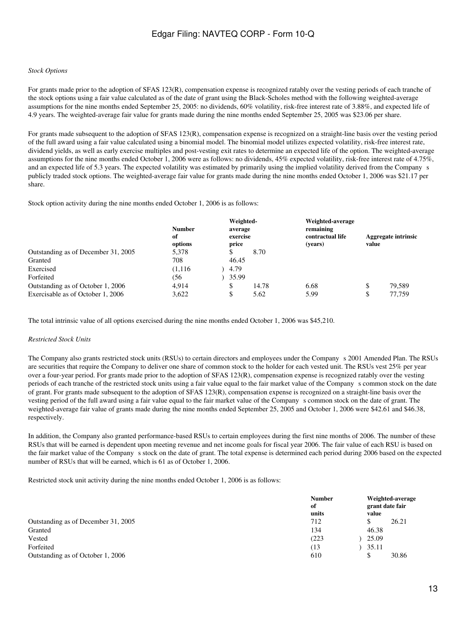#### *Stock Options*

For grants made prior to the adoption of SFAS 123(R), compensation expense is recognized ratably over the vesting periods of each tranche of the stock options using a fair value calculated as of the date of grant using the Black-Scholes method with the following weighted-average assumptions for the nine months ended September 25, 2005: no dividends, 60% volatility, risk-free interest rate of 3.88%, and expected life of 4.9 years. The weighted-average fair value for grants made during the nine months ended September 25, 2005 was \$23.06 per share.

For grants made subsequent to the adoption of SFAS 123(R), compensation expense is recognized on a straight-line basis over the vesting period of the full award using a fair value calculated using a binomial model. The binomial model utilizes expected volatility, risk-free interest rate, dividend yields, as well as early exercise multiples and post-vesting exit rates to determine an expected life of the option. The weighted-average assumptions for the nine months ended October 1, 2006 were as follows: no dividends, 45% expected volatility, risk-free interest rate of 4.75%, and an expected life of 5.3 years. The expected volatility was estimated by primarily using the implied volatility derived from the Companys publicly traded stock options. The weighted-average fair value for grants made during the nine months ended October 1, 2006 was \$21.17 per share.

Stock option activity during the nine months ended October 1, 2006 is as follows:

|                                     | <b>Number</b><br>of<br>options | Weighted-<br>average<br>exercise<br>price |       | Weighted-average<br>remaining<br>contractual life<br>(vears) | value | Aggregate intrinsic |
|-------------------------------------|--------------------------------|-------------------------------------------|-------|--------------------------------------------------------------|-------|---------------------|
| Outstanding as of December 31, 2005 | 5,378                          |                                           | 8.70  |                                                              |       |                     |
| Granted                             | 708                            | 46.45                                     |       |                                                              |       |                     |
| Exercised                           | (1,116)                        | 4.79                                      |       |                                                              |       |                     |
| Forfeited                           | (56                            | 35.99                                     |       |                                                              |       |                     |
| Outstanding as of October 1, 2006   | 4.914                          |                                           | 14.78 | 6.68                                                         |       | 79.589              |
| Exercisable as of October 1, 2006   | 3,622                          |                                           | 5.62  | 5.99                                                         |       | 77.759              |

The total intrinsic value of all options exercised during the nine months ended October 1, 2006 was \$45,210.

#### *Restricted Stock Units*

The Company also grants restricted stock units (RSUs) to certain directors and employees under the Companys 2001 Amended Plan. The RSUs are securities that require the Company to deliver one share of common stock to the holder for each vested unit. The RSUs vest 25% per year over a four-year period. For grants made prior to the adoption of SFAS 123(R), compensation expense is recognized ratably over the vesting periods of each tranche of the restricted stock units using a fair value equal to the fair market value of the Companys common stock on the date of grant. For grants made subsequent to the adoption of SFAS 123(R), compensation expense is recognized on a straight-line basis over the vesting period of the full award using a fair value equal to the fair market value of the Companys common stock on the date of grant. The weighted-average fair value of grants made during the nine months ended September 25, 2005 and October 1, 2006 were \$42.61 and \$46.38, respectively.

In addition, the Company also granted performance-based RSUs to certain employees during the first nine months of 2006. The number of these RSUs that will be earned is dependent upon meeting revenue and net income goals for fiscal year 2006. The fair value of each RSU is based on the fair market value of the Company s stock on the date of grant. The total expense is determined each period during 2006 based on the expected number of RSUs that will be earned, which is 61 as of October 1, 2006.

Restricted stock unit activity during the nine months ended October 1, 2006 is as follows:

|                                     | <b>Number</b><br>of<br>units |   | value | Weighted-average<br>grant date fair |
|-------------------------------------|------------------------------|---|-------|-------------------------------------|
| Outstanding as of December 31, 2005 | 712                          |   |       | 26.21                               |
| Granted                             | 134                          |   | 46.38 |                                     |
| Vested                              | (223)                        |   | 25.09 |                                     |
| Forfeited                           | (13                          |   | 35.11 |                                     |
| Outstanding as of October 1, 2006   | 610                          | S |       | 30.86                               |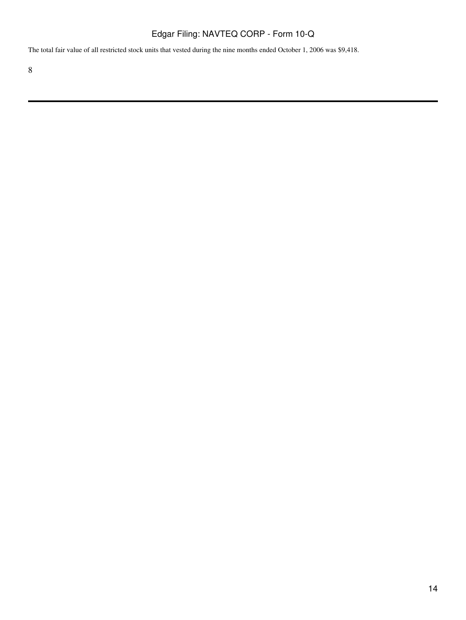The total fair value of all restricted stock units that vested during the nine months ended October 1, 2006 was \$9,418.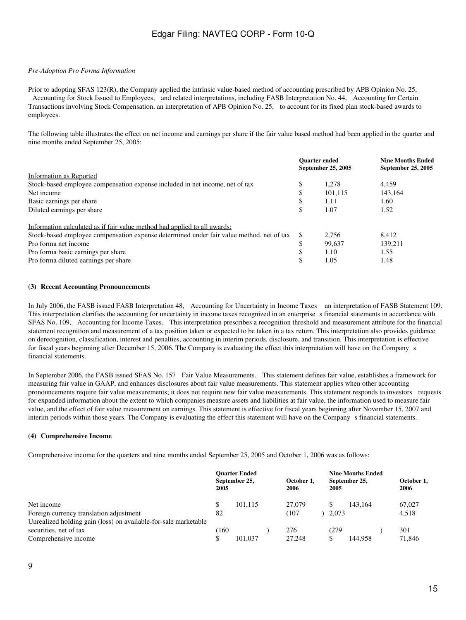### *Pre-Adoption Pro Forma Information*

Prior to adopting SFAS 123(R), the Company applied the intrinsic value-based method of accounting prescribed by APB Opinion No. 25, Accounting for Stock Issued to Employees, and related interpretations, including FASB Interpretation No. 44, Accounting for Certain Transactions involving Stock Compensation, an interpretation of APB Opinion No. 25, to account for its fixed plan stock-based awards to employees.

The following table illustrates the effect on net income and earnings per share if the fair value based method had been applied in the quarter and nine months ended September 25, 2005:

|                                                                                          |               | <b>Ouarter</b> ended<br>September 25, 2005 | <b>Nine Months Ended</b><br>September 25, 2005 |
|------------------------------------------------------------------------------------------|---------------|--------------------------------------------|------------------------------------------------|
| Information as Reported                                                                  |               |                                            |                                                |
| Stock-based employee compensation expense included in net income, net of tax             | \$            | 1.278                                      | 4.459                                          |
| Net income                                                                               | \$            | 101.115                                    | 143.164                                        |
| Basic earnings per share                                                                 | \$            | 1.11                                       | 1.60                                           |
| Diluted earnings per share                                                               | \$            | 1.07                                       | 1.52                                           |
| Information calculated as if fair value method had applied to all awards:                |               |                                            |                                                |
| Stock-based employee compensation expense determined under fair value method, net of tax | <sup>\$</sup> | 2.756                                      | 8.412                                          |
| Pro forma net income                                                                     | \$            | 99,637                                     | 139,211                                        |
| Pro forma basic earnings per share                                                       | \$            | 1.10                                       | 1.55                                           |
| Pro forma diluted earnings per share                                                     | \$            | 1.05                                       | 1.48                                           |

### **(3)Recent Accounting Pronouncements**

In July 2006, the FASB issued FASB Interpretation 48, Accounting for Uncertainty in Income Taxes an interpretation of FASB Statement 109. This interpretation clarifies the accounting for uncertainty in income taxes recognized in an enterprise s financial statements in accordance with SFAS No. 109, Accounting for Income Taxes. This interpretation prescribes a recognition threshold and measurement attribute for the financial statement recognition and measurement of a tax position taken or expected to be taken in a tax return. This interpretation also provides guidance on derecognition, classification, interest and penalties, accounting in interim periods, disclosure, and transition. This interpretation is effective for fiscal years beginning after December 15, 2006. The Company is evaluating the effect this interpretation will have on the Company s financial statements.

In September 2006, the FASB issued SFAS No. 157 Fair Value Measurements. This statement defines fair value, establishes a framework for measuring fair value in GAAP, and enhances disclosures about fair value measurements. This statement applies when other accounting pronouncements require fair value measurements; it does not require new fair value measurements. This statement responds to investors requests for expanded information about the extent to which companies measure assets and liabilities at fair value, the information used to measure fair value, and the effect of fair value measurement on earnings. This statement is effective for fiscal years beginning after November 15, 2007 and interim periods within those years. The Company is evaluating the effect this statement will have on the Company s financial statements.

#### **(4)Comprehensive Income**

Comprehensive income for the quarters and nine months ended September 25, 2005 and October 1, 2006 was as follows:

|                                                                 | 2005 | <b>Ouarter Ended</b><br>September 25, | October 1.<br>2006 | 2005  | <b>Nine Months Ended</b><br>September 25, | October 1,<br>2006 |
|-----------------------------------------------------------------|------|---------------------------------------|--------------------|-------|-------------------------------------------|--------------------|
| Net income                                                      |      | 101.115                               | 27,079             |       | 143.164                                   | 67,027             |
| Foreign currency translation adjustment                         | 82   |                                       | (107               | 2.073 |                                           | 4.518              |
| Unrealized holding gain (loss) on available-for-sale marketable |      |                                       |                    |       |                                           |                    |
| securities, net of tax                                          | 160  |                                       | 276                | (279  |                                           | 301                |
| Comprehensive income                                            |      | 101.037                               | 27,248             |       | 144.958                                   | 71.846             |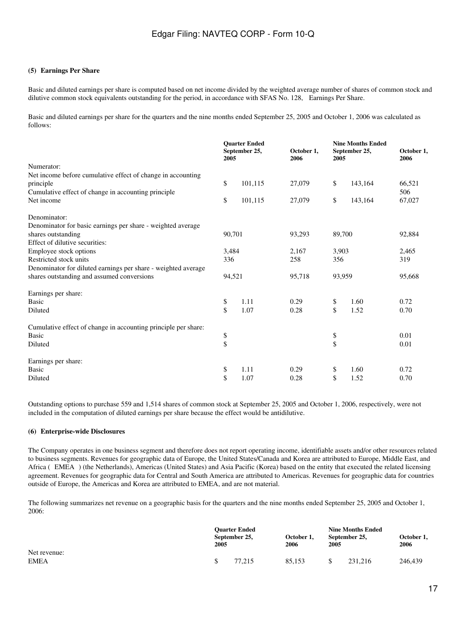### **(5)Earnings Per Share**

Basic and diluted earnings per share is computed based on net income divided by the weighted average number of shares of common stock and dilutive common stock equivalents outstanding for the period, in accordance with SFAS No. 128, Earnings Per Share.

Basic and diluted earnings per share for the quarters and the nine months ended September 25, 2005 and October 1, 2006 was calculated as follows:

|                                                                |        | <b>Ouarter Ended</b><br>September 25,<br>2005 | October 1,<br>2006 | <b>Nine Months Ended</b><br>September 25,<br>2005 |         | October 1,<br>2006 |  |
|----------------------------------------------------------------|--------|-----------------------------------------------|--------------------|---------------------------------------------------|---------|--------------------|--|
| Numerator:                                                     |        |                                               |                    |                                                   |         |                    |  |
| Net income before cumulative effect of change in accounting    |        |                                               |                    |                                                   |         |                    |  |
| principle                                                      | \$     | 101,115                                       | 27,079             | \$                                                | 143,164 | 66,521             |  |
| Cumulative effect of change in accounting principle            |        |                                               |                    |                                                   |         | 506                |  |
| Net income                                                     | \$     | 101,115                                       | 27,079             | \$                                                | 143,164 | 67,027             |  |
| Denominator:                                                   |        |                                               |                    |                                                   |         |                    |  |
| Denominator for basic earnings per share - weighted average    |        |                                               |                    |                                                   |         |                    |  |
| shares outstanding                                             | 90,701 |                                               | 93,293             | 89,700                                            |         | 92,884             |  |
| Effect of dilutive securities:                                 |        |                                               |                    |                                                   |         |                    |  |
| Employee stock options                                         | 3,484  |                                               | 2,167              | 3,903                                             |         | 2,465              |  |
| Restricted stock units                                         | 336    |                                               | 258                | 356                                               |         | 319                |  |
| Denominator for diluted earnings per share - weighted average  |        |                                               |                    |                                                   |         |                    |  |
| shares outstanding and assumed conversions                     | 94,521 |                                               | 95,718             | 93,959                                            |         | 95,668             |  |
| Earnings per share:                                            |        |                                               |                    |                                                   |         |                    |  |
| <b>Basic</b>                                                   | \$     | 1.11                                          | 0.29               | \$                                                | 1.60    | 0.72               |  |
| Diluted                                                        | \$     | 1.07                                          | 0.28               | \$                                                | 1.52    | 0.70               |  |
| Cumulative effect of change in accounting principle per share: |        |                                               |                    |                                                   |         |                    |  |
| <b>Basic</b>                                                   | \$     |                                               |                    | \$                                                |         | 0.01               |  |
| Diluted                                                        | \$     |                                               |                    | \$                                                |         | 0.01               |  |
| Earnings per share:                                            |        |                                               |                    |                                                   |         |                    |  |
| <b>Basic</b>                                                   | \$     | 1.11                                          | 0.29               | \$                                                | 1.60    | 0.72               |  |
| Diluted                                                        | \$     | 1.07                                          | 0.28               | \$                                                | 1.52    | 0.70               |  |
|                                                                |        |                                               |                    |                                                   |         |                    |  |

Outstanding options to purchase 559 and 1,514 shares of common stock at September 25, 2005 and October 1, 2006, respectively, were not included in the computation of diluted earnings per share because the effect would be antidilutive.

#### **(6)Enterprise-wide Disclosures**

The Company operates in one business segment and therefore does not report operating income, identifiable assets and/or other resources related to business segments. Revenues for geographic data of Europe, the United States/Canada and Korea are attributed to Europe, Middle East, and Africa (EMEA) (the Netherlands), Americas (United States) and Asia Pacific (Korea) based on the entity that executed the related licensing agreement. Revenues for geographic data for Central and South America are attributed to Americas. Revenues for geographic data for countries outside of Europe, the Americas and Korea are attributed to EMEA, and are not material.

The following summarizes net revenue on a geographic basis for the quarters and the nine months ended September 25, 2005 and October 1, 2006:

|                             |  | <b>Ouarter Ended</b><br>October 1,<br>September 25,<br><b>2005</b><br>2006 |        |    | <b>Nine Months Ended</b><br>September 25,<br>2005 |         |  |
|-----------------------------|--|----------------------------------------------------------------------------|--------|----|---------------------------------------------------|---------|--|
| Net revenue:<br><b>EMEA</b> |  | 77.215                                                                     | 85,153 | \$ | 231.216                                           | 246,439 |  |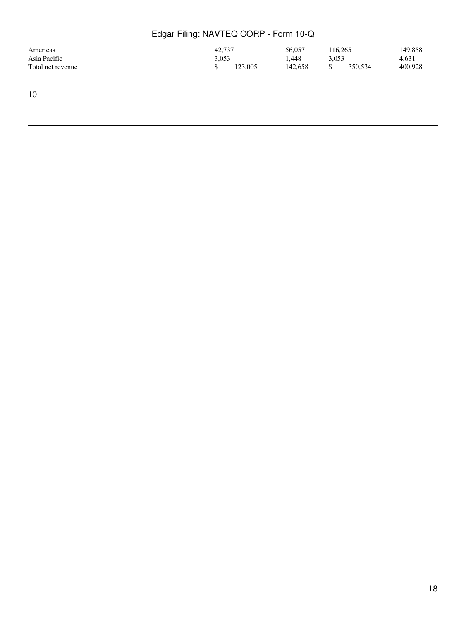| Americas          | 42.737 |         | 56,057  | 116.265 |         | 149,858 |
|-------------------|--------|---------|---------|---------|---------|---------|
| Asia Pacific      | 3.053  |         | 1.448   | 3.053   |         | 4,631   |
| Total net revenue |        | 123,005 | 142,658 |         | 350.534 | 400,928 |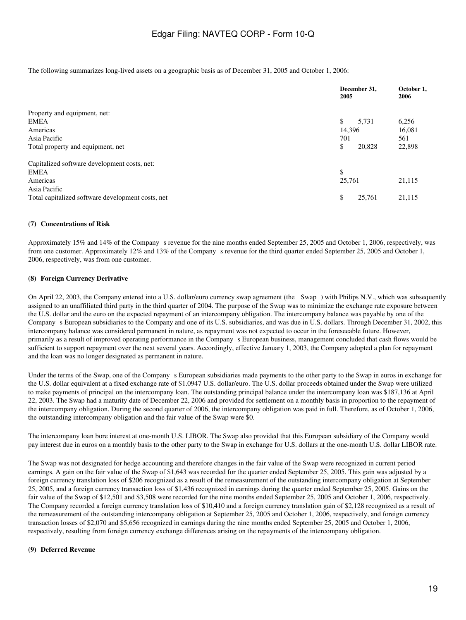The following summarizes long-lived assets on a geographic basis as of December 31, 2005 and October 1, 2006:

|                                                   | December 31,<br>2005 | October 1,<br>2006 |
|---------------------------------------------------|----------------------|--------------------|
| Property and equipment, net:                      |                      |                    |
| <b>EMEA</b>                                       | \$<br>5,731          | 6,256              |
| Americas                                          | 14.396               | 16,081             |
| Asia Pacific                                      | 701                  | 561                |
| Total property and equipment, net                 | \$<br>20,828         | 22,898             |
| Capitalized software development costs, net:      |                      |                    |
| <b>EMEA</b>                                       | \$                   |                    |
| Americas                                          | 25,761               | 21,115             |
| Asia Pacific                                      |                      |                    |
| Total capitalized software development costs, net | \$<br>25,761         | 21,115             |

### **(7)Concentrations of Risk**

Approximately 15% and 14% of the Company s revenue for the nine months ended September 25, 2005 and October 1, 2006, respectively, was from one customer. Approximately 12% and 13% of the Company s revenue for the third quarter ended September 25, 2005 and October 1, 2006, respectively, was from one customer.

### **(8)Foreign Currency Derivative**

On April 22, 2003, the Company entered into a U.S. dollar/euro currency swap agreement (the Swap) with Philips N.V., which was subsequently assigned to an unaffiliated third party in the third quarter of 2004. The purpose of the Swap was to minimize the exchange rate exposure between the U.S. dollar and the euro on the expected repayment of an intercompany obligation. The intercompany balance was payable by one of the Companys European subsidiaries to the Company and one of its U.S. subsidiaries, and was due in U.S. dollars. Through December 31, 2002, this intercompany balance was considered permanent in nature, as repayment was not expected to occur in the foreseeable future. However, primarily as a result of improved operating performance in the Company s European business, management concluded that cash flows would be sufficient to support repayment over the next several years. Accordingly, effective January 1, 2003, the Company adopted a plan for repayment and the loan was no longer designated as permanent in nature.

Under the terms of the Swap, one of the Company s European subsidiaries made payments to the other party to the Swap in euros in exchange for the U.S. dollar equivalent at a fixed exchange rate of \$1.0947 U.S. dollar/euro. The U.S. dollar proceeds obtained under the Swap were utilized to make payments of principal on the intercompany loan. The outstanding principal balance under the intercompany loan was \$187,136 at April 22, 2003. The Swap had a maturity date of December 22, 2006 and provided for settlement on a monthly basis in proportion to the repayment of the intercompany obligation. During the second quarter of 2006, the intercompany obligation was paid in full. Therefore, as of October 1, 2006, the outstanding intercompany obligation and the fair value of the Swap were \$0.

The intercompany loan bore interest at one-month U.S. LIBOR. The Swap also provided that this European subsidiary of the Company would pay interest due in euros on a monthly basis to the other party to the Swap in exchange for U.S. dollars at the one-month U.S. dollar LIBOR rate.

The Swap was not designated for hedge accounting and therefore changes in the fair value of the Swap were recognized in current period earnings. A gain on the fair value of the Swap of \$1,643 was recorded for the quarter ended September 25, 2005. This gain was adjusted by a foreign currency translation loss of \$206 recognized as a result of the remeasurement of the outstanding intercompany obligation at September 25, 2005, and a foreign currency transaction loss of \$1,436 recognized in earnings during the quarter ended September 25, 2005. Gains on the fair value of the Swap of \$12,501 and \$3,508 were recorded for the nine months ended September 25, 2005 and October 1, 2006, respectively. The Company recorded a foreign currency translation loss of \$10,410 and a foreign currency translation gain of \$2,128 recognized as a result of the remeasurement of the outstanding intercompany obligation at September 25, 2005 and October 1, 2006, respectively, and foreign currency transaction losses of \$2,070 and \$5,656 recognized in earnings during the nine months ended September 25, 2005 and October 1, 2006, respectively, resulting from foreign currency exchange differences arising on the repayments of the intercompany obligation.

### **(9) Deferred Revenue**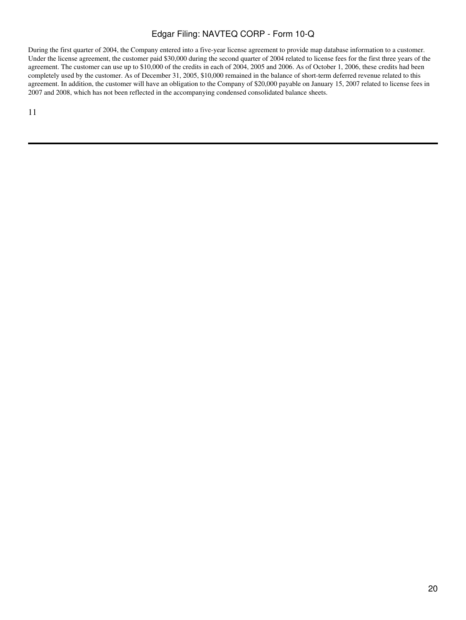During the first quarter of 2004, the Company entered into a five-year license agreement to provide map database information to a customer. Under the license agreement, the customer paid \$30,000 during the second quarter of 2004 related to license fees for the first three years of the agreement. The customer can use up to \$10,000 of the credits in each of 2004, 2005 and 2006. As of October 1, 2006, these credits had been completely used by the customer. As of December 31, 2005, \$10,000 remained in the balance of short-term deferred revenue related to this agreement. In addition, the customer will have an obligation to the Company of \$20,000 payable on January 15, 2007 related to license fees in 2007 and 2008, which has not been reflected in the accompanying condensed consolidated balance sheets.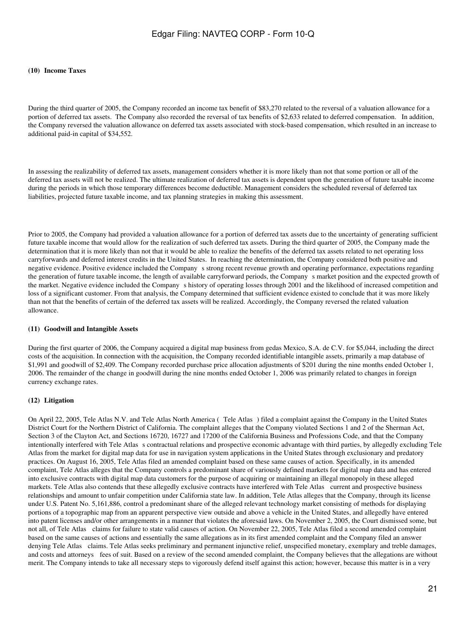#### **(10)Income Taxes**

During the third quarter of 2005, the Company recorded an income tax benefit of \$83,270 related to the reversal of a valuation allowance for a portion of deferred tax assets. The Company also recorded the reversal of tax benefits of \$2,633 related to deferred compensation. In addition, the Company reversed the valuation allowance on deferred tax assets associated with stock-based compensation, which resulted in an increase to additional paid-in capital of \$34,552.

In assessing the realizability of deferred tax assets, management considers whether it is more likely than not that some portion or all of the deferred tax assets will not be realized. The ultimate realization of deferred tax assets is dependent upon the generation of future taxable income during the periods in which those temporary differences become deductible. Management considers the scheduled reversal of deferred tax liabilities, projected future taxable income, and tax planning strategies in making this assessment.

Prior to 2005, the Company had provided a valuation allowance for a portion of deferred tax assets due to the uncertainty of generating sufficient future taxable income that would allow for the realization of such deferred tax assets. During the third quarter of 2005, the Company made the determination that it is more likely than not that it would be able to realize the benefits of the deferred tax assets related to net operating loss carryforwards and deferred interest credits in the United States. In reaching the determination, the Company considered both positive and negative evidence. Positive evidence included the Companys strong recent revenue growth and operating performance, expectations regarding the generation of future taxable income, the length of available carryforward periods, the Companys market position and the expected growth of the market. Negative evidence included the Companys history of operating losses through 2001 and the likelihood of increased competition and loss of a significant customer. From that analysis, the Company determined that sufficient evidence existed to conclude that it was more likely than not that the benefits of certain of the deferred tax assets will be realized. Accordingly, the Company reversed the related valuation allowance.

#### **(11)Goodwill and Intangible Assets**

During the first quarter of 2006, the Company acquired a digital map business from gedas Mexico, S.A. de C.V. for \$5,044, including the direct costs of the acquisition. In connection with the acquisition, the Company recorded identifiable intangible assets, primarily a map database of \$1,991 and goodwill of \$2,409. The Company recorded purchase price allocation adjustments of \$201 during the nine months ended October 1, 2006. The remainder of the change in goodwill during the nine months ended October 1, 2006 was primarily related to changes in foreign currency exchange rates.

#### **(12)Litigation**

On April 22, 2005, Tele Atlas N.V. and Tele Atlas North America (Tele Atlas) filed a complaint against the Company in the United States District Court for the Northern District of California. The complaint alleges that the Company violated Sections 1 and 2 of the Sherman Act, Section 3 of the Clayton Act, and Sections 16720, 16727 and 17200 of the California Business and Professions Code, and that the Company intentionally interfered with Tele Atlas s contractual relations and prospective economic advantage with third parties, by allegedly excluding Tele Atlas from the market for digital map data for use in navigation system applications in the United States through exclusionary and predatory practices. On August 16, 2005, Tele Atlas filed an amended complaint based on these same causes of action. Specifically, in its amended complaint, Tele Atlas alleges that the Company controls a predominant share of variously defined markets for digital map data and has entered into exclusive contracts with digital map data customers for the purpose of acquiring or maintaining an illegal monopoly in these alleged markets. Tele Atlas also contends that these allegedly exclusive contracts have interfered with Tele Atlas current and prospective business relationships and amount to unfair competition under California state law. In addition, Tele Atlas alleges that the Company, through its license under U.S. Patent No. 5,161,886, control a predominant share of the alleged relevant technology market consisting of methods for displaying portions of a topographic map from an apparent perspective view outside and above a vehicle in the United States, and allegedly have entered into patent licenses and/or other arrangements in a manner that violates the aforesaid laws. On November 2, 2005, the Court dismissed some, but not all, of Tele Atlas claims for failure to state valid causes of action. On November 22, 2005, Tele Atlas filed a second amended complaint based on the same causes of actions and essentially the same allegations as in its first amended complaint and the Company filed an answer denying Tele Atlas claims. Tele Atlas seeks preliminary and permanent injunctive relief, unspecified monetary, exemplary and treble damages, and costs and attorneys fees of suit. Based on a review of the second amended complaint, the Company believes that the allegations are without merit. The Company intends to take all necessary steps to vigorously defend itself against this action; however, because this matter is in a very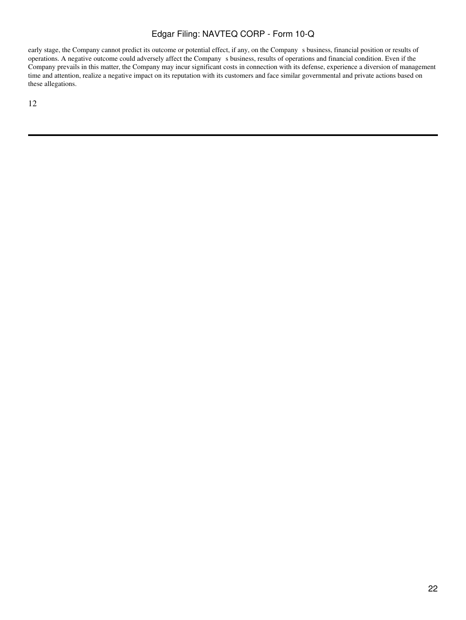early stage, the Company cannot predict its outcome or potential effect, if any, on the Company s business, financial position or results of operations. A negative outcome could adversely affect the Company s business, results of operations and financial condition. Even if the Company prevails in this matter, the Company may incur significant costs in connection with its defense, experience a diversion of management time and attention, realize a negative impact on its reputation with its customers and face similar governmental and private actions based on these allegations.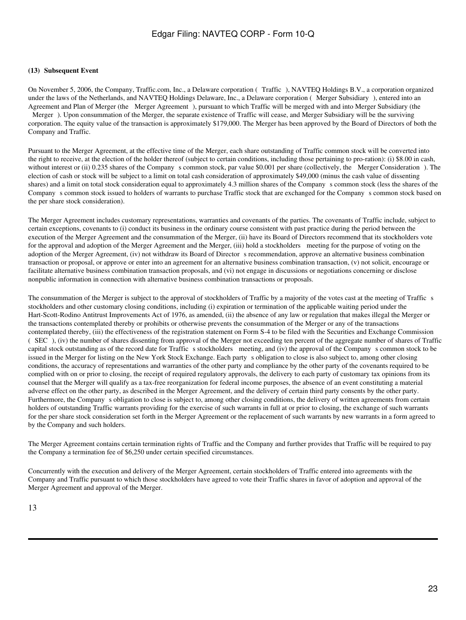### **(13) Subsequent Event**

On November 5, 2006, the Company, Traffic.com, Inc., a Delaware corporation (Traffic), NAVTEQ Holdings B.V., a corporation organized under the laws of the Netherlands, and NAVTEQ Holdings Delaware, Inc., a Delaware corporation (Merger Subsidiary), entered into an Agreement and Plan of Merger (the Merger Agreement), pursuant to which Traffic will be merged with and into Merger Subsidiary (the Merger). Upon consummation of the Merger, the separate existence of Traffic will cease, and Merger Subsidiary will be the surviving corporation. The equity value of the transaction is approximately \$179,000. The Merger has been approved by the Board of Directors of both the Company and Traffic.

Pursuant to the Merger Agreement, at the effective time of the Merger, each share outstanding of Traffic common stock will be converted into the right to receive, at the election of the holder thereof (subject to certain conditions, including those pertaining to pro-ration): (i) \$8.00 in cash, without interest or (ii) 0.235 shares of the Company s common stock, par value \$0.001 per share (collectively, the Merger Consideration). The election of cash or stock will be subject to a limit on total cash consideration of approximately \$49,000 (minus the cash value of dissenting shares) and a limit on total stock consideration equal to approximately 4.3 million shares of the Companys common stock (less the shares of the Company s common stock issued to holders of warrants to purchase Traffic stock that are exchanged for the Company s common stock based on the per share stock consideration).

The Merger Agreement includes customary representations, warranties and covenants of the parties. The covenants of Traffic include, subject to certain exceptions, covenants to (i) conduct its business in the ordinary course consistent with past practice during the period between the execution of the Merger Agreement and the consummation of the Merger, (ii) have its Board of Directors recommend that its stockholders vote for the approval and adoption of the Merger Agreement and the Merger, (iii) hold a stockholders meeting for the purpose of voting on the adoption of the Merger Agreement, (iv) not withdraw its Board of Director s recommendation, approve an alternative business combination transaction or proposal, or approve or enter into an agreement for an alternative business combination transaction, (v) not solicit, encourage or facilitate alternative business combination transaction proposals, and (vi) not engage in discussions or negotiations concerning or disclose nonpublic information in connection with alternative business combination transactions or proposals.

The consummation of the Merger is subject to the approval of stockholders of Traffic by a majority of the votes cast at the meeting of Traffic s stockholders and other customary closing conditions, including (i) expiration or termination of the applicable waiting period under the Hart-Scott-Rodino Antitrust Improvements Act of 1976, as amended, (ii) the absence of any law or regulation that makes illegal the Merger or the transactions contemplated thereby or prohibits or otherwise prevents the consummation of the Merger or any of the transactions contemplated thereby, (iii) the effectiveness of the registration statement on Form S-4 to be filed with the Securities and Exchange Commission (SEC), (iv) the number of shares dissenting from approval of the Merger not exceeding ten percent of the aggregate number of shares of Traffic capital stock outstanding as of the record date for Traffic s stockholders meeting, and (iv) the approval of the Company s common stock to be issued in the Merger for listing on the New York Stock Exchange. Each party s obligation to close is also subject to, among other closing conditions, the accuracy of representations and warranties of the other party and compliance by the other party of the covenants required to be complied with on or prior to closing, the receipt of required regulatory approvals, the delivery to each party of customary tax opinions from its counsel that the Merger will qualify as a tax-free reorganization for federal income purposes, the absence of an event constituting a material adverse effect on the other party, as described in the Merger Agreement, and the delivery of certain third party consents by the other party. Furthermore, the Company s obligation to close is subject to, among other closing conditions, the delivery of written agreements from certain holders of outstanding Traffic warrants providing for the exercise of such warrants in full at or prior to closing, the exchange of such warrants for the per share stock consideration set forth in the Merger Agreement or the replacement of such warrants by new warrants in a form agreed to by the Company and such holders.

The Merger Agreement contains certain termination rights of Traffic and the Company and further provides that Traffic will be required to pay the Company a termination fee of \$6,250 under certain specified circumstances.

Concurrently with the execution and delivery of the Merger Agreement, certain stockholders of Traffic entered into agreements with the Company and Traffic pursuant to which those stockholders have agreed to vote their Traffic shares in favor of adoption and approval of the Merger Agreement and approval of the Merger.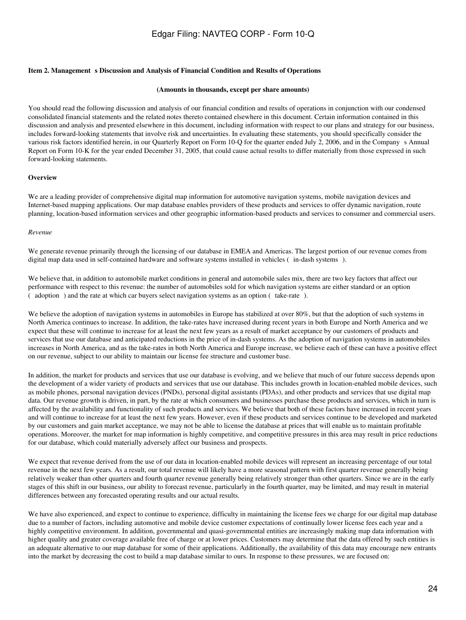#### **Item 2. Management s Discussion and Analysis of Financial Condition and Results of Operations**

#### **(Amounts in thousands, except per share amounts)**

You should read the following discussion and analysis of our financial condition and results of operations in conjunction with our condensed consolidated financial statements and the related notes thereto contained elsewhere in this document. Certain information contained in this discussion and analysis and presented elsewhere in this document, including information with respect to our plans and strategy for our business, includes forward-looking statements that involve risk and uncertainties. In evaluating these statements, you should specifically consider the various risk factors identified herein, in our Quarterly Report on Form 10-Q for the quarter ended July 2, 2006, and in the Companys Annual Report on Form 10-K for the year ended December 31, 2005, that could cause actual results to differ materially from those expressed in such forward-looking statements.

#### **Overview**

We are a leading provider of comprehensive digital map information for automotive navigation systems, mobile navigation devices and Internet-based mapping applications. Our map database enables providers of these products and services to offer dynamic navigation, route planning, location-based information services and other geographic information-based products and services to consumer and commercial users.

#### *Revenue*

We generate revenue primarily through the licensing of our database in EMEA and Americas. The largest portion of our revenue comes from digital map data used in self-contained hardware and software systems installed in vehicles (in-dash systems).

We believe that, in addition to automobile market conditions in general and automobile sales mix, there are two key factors that affect our performance with respect to this revenue: the number of automobiles sold for which navigation systems are either standard or an option (adoption) and the rate at which car buyers select navigation systems as an option (take-rate).

We believe the adoption of navigation systems in automobiles in Europe has stabilized at over 80%, but that the adoption of such systems in North America continues to increase. In addition, the take-rates have increased during recent years in both Europe and North America and we expect that these will continue to increase for at least the next few years as a result of market acceptance by our customers of products and services that use our database and anticipated reductions in the price of in-dash systems. As the adoption of navigation systems in automobiles increases in North America, and as the take-rates in both North America and Europe increase, we believe each of these can have a positive effect on our revenue, subject to our ability to maintain our license fee structure and customer base.

In addition, the market for products and services that use our database is evolving, and we believe that much of our future success depends upon the development of a wider variety of products and services that use our database. This includes growth in location-enabled mobile devices, such as mobile phones, personal navigation devices (PNDs), personal digital assistants (PDAs), and other products and services that use digital map data. Our revenue growth is driven, in part, by the rate at which consumers and businesses purchase these products and services, which in turn is affected by the availability and functionality of such products and services. We believe that both of these factors have increased in recent years and will continue to increase for at least the next few years. However, even if these products and services continue to be developed and marketed by our customers and gain market acceptance, we may not be able to license the database at prices that will enable us to maintain profitable operations. Moreover, the market for map information is highly competitive, and competitive pressures in this area may result in price reductions for our database, which could materially adversely affect our business and prospects.

We expect that revenue derived from the use of our data in location-enabled mobile devices will represent an increasing percentage of our total revenue in the next few years. As a result, our total revenue will likely have a more seasonal pattern with first quarter revenue generally being relatively weaker than other quarters and fourth quarter revenue generally being relatively stronger than other quarters. Since we are in the early stages of this shift in our business, our ability to forecast revenue, particularly in the fourth quarter, may be limited, and may result in material differences between any forecasted operating results and our actual results.

We have also experienced, and expect to continue to experience, difficulty in maintaining the license fees we charge for our digital map database due to a number of factors, including automotive and mobile device customer expectations of continually lower license fees each year and a highly competitive environment. In addition, governmental and quasi-governmental entities are increasingly making map data information with higher quality and greater coverage available free of charge or at lower prices. Customers may determine that the data offered by such entities is an adequate alternative to our map database for some of their applications. Additionally, the availability of this data may encourage new entrants into the market by decreasing the cost to build a map database similar to ours. In response to these pressures, we are focused on: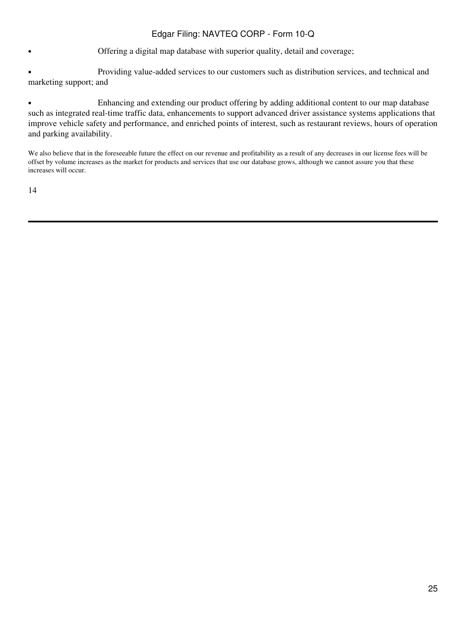• Offering a digital map database with superior quality, detail and coverage;

• Providing value-added services to our customers such as distribution services, and technical and marketing support; and

• Enhancing and extending our product offering by adding additional content to our map database such as integrated real-time traffic data, enhancements to support advanced driver assistance systems applications that improve vehicle safety and performance, and enriched points of interest, such as restaurant reviews, hours of operation and parking availability.

We also believe that in the foreseeable future the effect on our revenue and profitability as a result of any decreases in our license fees will be offset by volume increases as the market for products and services that use our database grows, although we cannot assure you that these increases will occur.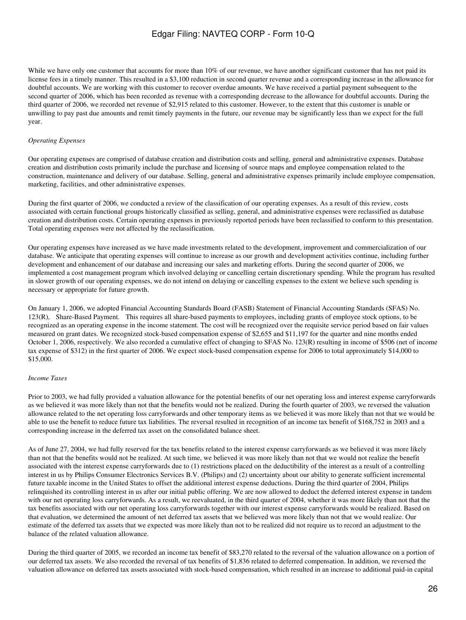While we have only one customer that accounts for more than 10% of our revenue, we have another significant customer that has not paid its license fees in a timely manner. This resulted in a \$3,100 reduction in second quarter revenue and a corresponding increase in the allowance for doubtful accounts. We are working with this customer to recover overdue amounts. We have received a partial payment subsequent to the second quarter of 2006, which has been recorded as revenue with a corresponding decrease to the allowance for doubtful accounts. During the third quarter of 2006, we recorded net revenue of \$2,915 related to this customer. However, to the extent that this customer is unable or unwilling to pay past due amounts and remit timely payments in the future, our revenue may be significantly less than we expect for the full year.

### *Operating Expenses*

Our operating expenses are comprised of database creation and distribution costs and selling, general and administrative expenses. Database creation and distribution costs primarily include the purchase and licensing of source maps and employee compensation related to the construction, maintenance and delivery of our database. Selling, general and administrative expenses primarily include employee compensation, marketing, facilities, and other administrative expenses.

During the first quarter of 2006, we conducted a review of the classification of our operating expenses. As a result of this review, costs associated with certain functional groups historically classified as selling, general, and administrative expenses were reclassified as database creation and distribution costs. Certain operating expenses in previously reported periods have been reclassified to conform to this presentation. Total operating expenses were not affected by the reclassification.

Our operating expenses have increased as we have made investments related to the development, improvement and commercialization of our database. We anticipate that operating expenses will continue to increase as our growth and development activities continue, including further development and enhancement of our database and increasing our sales and marketing efforts. During the second quarter of 2006, we implemented a cost management program which involved delaying or cancelling certain discretionary spending. While the program has resulted in slower growth of our operating expenses, we do not intend on delaying or cancelling expenses to the extent we believe such spending is necessary or appropriate for future growth.

On January 1, 2006, we adopted Financial Accounting Standards Board (FASB) Statement of Financial Accounting Standards (SFAS) No. 123(R), Share-Based Payment. This requires all share-based payments to employees, including grants of employee stock options, to be recognized as an operating expense in the income statement. The cost will be recognized over the requisite service period based on fair values measured on grant dates. We recognized stock-based compensation expense of \$2,655 and \$11,197 for the quarter and nine months ended October 1, 2006, respectively. We also recorded a cumulative effect of changing to SFAS No. 123(R) resulting in income of \$506 (net of income tax expense of \$312) in the first quarter of 2006. We expect stock-based compensation expense for 2006 to total approximately \$14,000 to \$15,000.

### *Income Taxes*

Prior to 2003, we had fully provided a valuation allowance for the potential benefits of our net operating loss and interest expense carryforwards as we believed it was more likely than not that the benefits would not be realized. During the fourth quarter of 2003, we reversed the valuation allowance related to the net operating loss carryforwards and other temporary items as we believed it was more likely than not that we would be able to use the benefit to reduce future tax liabilities. The reversal resulted in recognition of an income tax benefit of \$168,752 in 2003 and a corresponding increase in the deferred tax asset on the consolidated balance sheet.

As of June 27, 2004, we had fully reserved for the tax benefits related to the interest expense carryforwards as we believed it was more likely than not that the benefits would not be realized. At such time, we believed it was more likely than not that we would not realize the benefit associated with the interest expense carryforwards due to (1) restrictions placed on the deductibility of the interest as a result of a controlling interest in us by Philips Consumer Electronics Services B.V. (Philips) and (2) uncertainty about our ability to generate sufficient incremental future taxable income in the United States to offset the additional interest expense deductions. During the third quarter of 2004, Philips relinquished its controlling interest in us after our initial public offering. We are now allowed to deduct the deferred interest expense in tandem with our net operating loss carryforwards. As a result, we reevaluated, in the third quarter of 2004, whether it was more likely than not that the tax benefits associated with our net operating loss carryforwards together with our interest expense carryforwards would be realized. Based on that evaluation, we determined the amount of net deferred tax assets that we believed was more likely than not that we would realize. Our estimate of the deferred tax assets that we expected was more likely than not to be realized did not require us to record an adjustment to the balance of the related valuation allowance.

During the third quarter of 2005, we recorded an income tax benefit of \$83,270 related to the reversal of the valuation allowance on a portion of our deferred tax assets. We also recorded the reversal of tax benefits of \$1,836 related to deferred compensation. In addition, we reversed the valuation allowance on deferred tax assets associated with stock-based compensation, which resulted in an increase to additional paid-in capital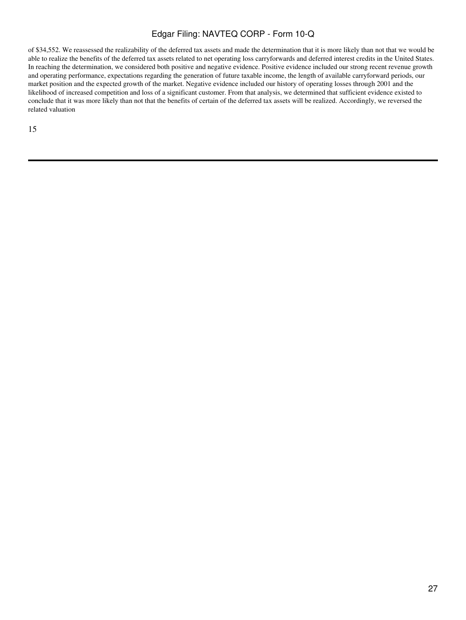of \$34,552. We reassessed the realizability of the deferred tax assets and made the determination that it is more likely than not that we would be able to realize the benefits of the deferred tax assets related to net operating loss carryforwards and deferred interest credits in the United States. In reaching the determination, we considered both positive and negative evidence. Positive evidence included our strong recent revenue growth and operating performance, expectations regarding the generation of future taxable income, the length of available carryforward periods, our market position and the expected growth of the market. Negative evidence included our history of operating losses through 2001 and the likelihood of increased competition and loss of a significant customer. From that analysis, we determined that sufficient evidence existed to conclude that it was more likely than not that the benefits of certain of the deferred tax assets will be realized. Accordingly, we reversed the related valuation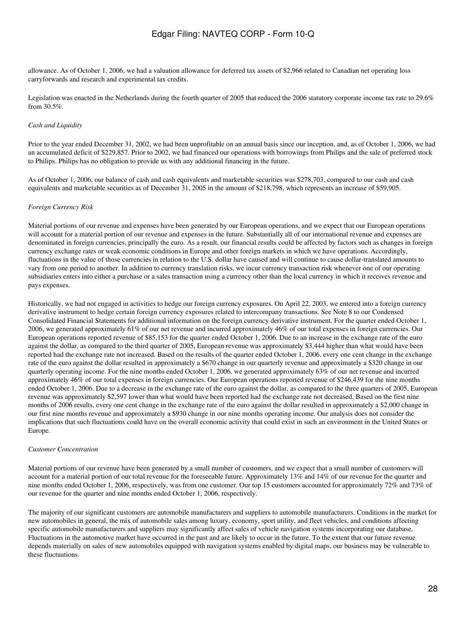allowance. As of October 1, 2006, we had a valuation allowance for deferred tax assets of \$2,966 related to Canadian net operating loss carryforwards and research and experimental tax credits.

Legislation was enacted in the Netherlands during the fourth quarter of 2005 that reduced the 2006 statutory corporate income tax rate to 29.6% from 30.5%.

### *Cash and Liquidity*

Prior to the year ended December 31, 2002, we had been unprofitable on an annual basis since our inception, and, as of October 1, 2006, we had an accumulated deficit of \$229,857. Prior to 2002, we had financed our operations with borrowings from Philips and the sale of preferred stock to Philips. Philips has no obligation to provide us with any additional financing in the future.

As of October 1, 2006, our balance of cash and cash equivalents and marketable securities was \$278,703, compared to our cash and cash equivalents and marketable securities as of December 31, 2005 in the amount of \$218,798, which represents an increase of \$59,905.

### *Foreign Currency Risk*

Material portions of our revenue and expenses have been generated by our European operations, and we expect that our European operations will account for a material portion of our revenue and expenses in the future. Substantially all of our international revenue and expenses are denominated in foreign currencies, principally the euro. As a result, our financial results could be affected by factors such as changes in foreign currency exchange rates or weak economic conditions in Europe and other foreign markets in which we have operations. Accordingly, fluctuations in the value of those currencies in relation to the U.S. dollar have caused and will continue to cause dollar-translated amounts to vary from one period to another. In addition to currency translation risks, we incur currency transaction risk whenever one of our operating subsidiaries enters into either a purchase or a sales transaction using a currency other than the local currency in which it receives revenue and pays expenses.

Historically, we had not engaged in activities to hedge our foreign currency exposures. On April 22, 2003, we entered into a foreign currency derivative instrument to hedge certain foreign currency exposures related to intercompany transactions. See Note 8 to our Condensed Consolidated Financial Statements for additional information on the foreign currency derivative instrument. For the quarter ended October 1, 2006, we generated approximately 61% of our net revenue and incurred approximately 46% of our total expenses in foreign currencies. Our European operations reported revenue of \$85,153 for the quarter ended October 1, 2006. Due to an increase in the exchange rate of the euro against the dollar, as compared to the third quarter of 2005, European revenue was approximately \$3,444 higher than what would have been reported had the exchange rate not increased. Based on the results of the quarter ended October 1, 2006, every one cent change in the exchange rate of the euro against the dollar resulted in approximately a \$670 change in our quarterly revenue and approximately a \$320 change in our quarterly operating income. For the nine months ended October 1, 2006, we generated approximately 63% of our net revenue and incurred approximately 46% of our total expenses in foreign currencies. Our European operations reported revenue of \$246,439 for the nine months ended October 1, 2006. Due to a decrease in the exchange rate of the euro against the dollar, as compared to the three quarters of 2005, European revenue was approximately \$2,597 lower than what would have been reported had the exchange rate not decreased. Based on the first nine months of 2006 results, every one cent change in the exchange rate of the euro against the dollar resulted in approximately a \$2,000 change in our first nine months revenue and approximately a \$930 change in our nine months operating income. Our analysis does not consider the implications that such fluctuations could have on the overall economic activity that could exist in such an environment in the United States or Europe.

### *Customer Concentration*

Material portions of our revenue have been generated by a small number of customers, and we expect that a small number of customers will account for a material portion of our total revenue for the foreseeable future. Approximately 13% and 14% of our revenue for the quarter and nine months ended October 1, 2006, respectively, was from one customer. Our top 15 customers accounted for approximately 72% and 73% of our revenue for the quarter and nine months ended October 1, 2006, respectively.

The majority of our significant customers are automobile manufacturers and suppliers to automobile manufacturers. Conditions in the market for new automobiles in general, the mix of automobile sales among luxury, economy, sport utility, and fleet vehicles, and conditions affecting specific automobile manufacturers and suppliers may significantly affect sales of vehicle navigation systems incorporating our database. Fluctuations in the automotive market have occurred in the past and are likely to occur in the future. To the extent that our future revenue depends materially on sales of new automobiles equipped with navigation systems enabled by digital maps, our business may be vulnerable to these fluctuations.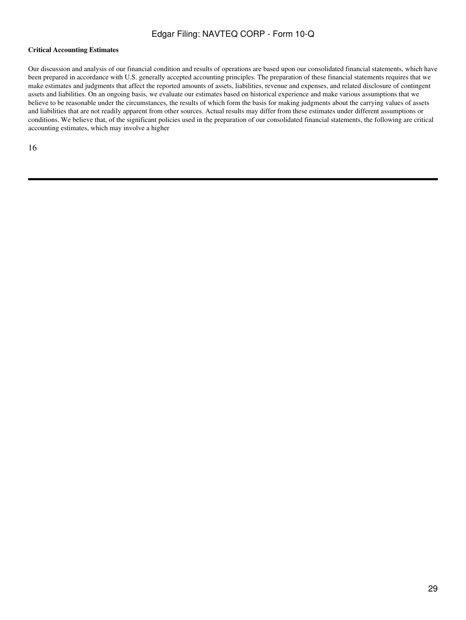### **Critical Accounting Estimates**

Our discussion and analysis of our financial condition and results of operations are based upon our consolidated financial statements, which have been prepared in accordance with U.S. generally accepted accounting principles. The preparation of these financial statements requires that we make estimates and judgments that affect the reported amounts of assets, liabilities, revenue and expenses, and related disclosure of contingent assets and liabilities. On an ongoing basis, we evaluate our estimates based on historical experience and make various assumptions that we believe to be reasonable under the circumstances, the results of which form the basis for making judgments about the carrying values of assets and liabilities that are not readily apparent from other sources. Actual results may differ from these estimates under different assumptions or conditions. We believe that, of the significant policies used in the preparation of our consolidated financial statements, the following are critical accounting estimates, which may involve a higher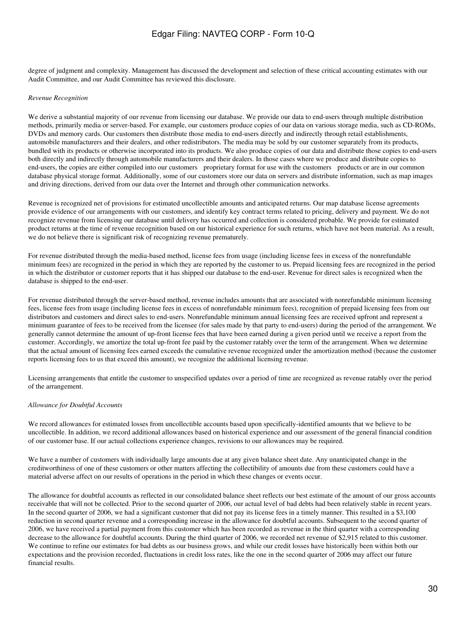degree of judgment and complexity. Management has discussed the development and selection of these critical accounting estimates with our Audit Committee, and our Audit Committee has reviewed this disclosure.

#### *Revenue Recognition*

We derive a substantial majority of our revenue from licensing our database. We provide our data to end-users through multiple distribution methods, primarily media or server-based. For example, our customers produce copies of our data on various storage media, such as CD-ROMs, DVDs and memory cards. Our customers then distribute those media to end-users directly and indirectly through retail establishments, automobile manufacturers and their dealers, and other redistributors. The media may be sold by our customer separately from its products, bundled with its products or otherwise incorporated into its products. We also produce copies of our data and distribute those copies to end-users both directly and indirectly through automobile manufacturers and their dealers. In those cases where we produce and distribute copies to end-users, the copies are either compiled into our customers proprietary format for use with the customers products or are in our common database physical storage format. Additionally, some of our customers store our data on servers and distribute information, such as map images and driving directions, derived from our data over the Internet and through other communication networks.

Revenue is recognized net of provisions for estimated uncollectible amounts and anticipated returns. Our map database license agreements provide evidence of our arrangements with our customers, and identify key contract terms related to pricing, delivery and payment. We do not recognize revenue from licensing our database until delivery has occurred and collection is considered probable. We provide for estimated product returns at the time of revenue recognition based on our historical experience for such returns, which have not been material. As a result, we do not believe there is significant risk of recognizing revenue prematurely.

For revenue distributed through the media-based method, license fees from usage (including license fees in excess of the nonrefundable minimum fees) are recognized in the period in which they are reported by the customer to us. Prepaid licensing fees are recognized in the period in which the distributor or customer reports that it has shipped our database to the end-user. Revenue for direct sales is recognized when the database is shipped to the end-user.

For revenue distributed through the server-based method, revenue includes amounts that are associated with nonrefundable minimum licensing fees, license fees from usage (including license fees in excess of nonrefundable minimum fees), recognition of prepaid licensing fees from our distributors and customers and direct sales to end-users. Nonrefundable minimum annual licensing fees are received upfront and represent a minimum guarantee of fees to be received from the licensee (for sales made by that party to end-users) during the period of the arrangement. We generally cannot determine the amount of up-front license fees that have been earned during a given period until we receive a report from the customer. Accordingly, we amortize the total up-front fee paid by the customer ratably over the term of the arrangement. When we determine that the actual amount of licensing fees earned exceeds the cumulative revenue recognized under the amortization method (because the customer reports licensing fees to us that exceed this amount), we recognize the additional licensing revenue.

Licensing arrangements that entitle the customer to unspecified updates over a period of time are recognized as revenue ratably over the period of the arrangement.

#### *Allowance for Doubtful Accounts*

We record allowances for estimated losses from uncollectible accounts based upon specifically-identified amounts that we believe to be uncollectible. In addition, we record additional allowances based on historical experience and our assessment of the general financial condition of our customer base. If our actual collections experience changes, revisions to our allowances may be required.

We have a number of customers with individually large amounts due at any given balance sheet date. Any unanticipated change in the creditworthiness of one of these customers or other matters affecting the collectibility of amounts due from these customers could have a material adverse affect on our results of operations in the period in which these changes or events occur.

The allowance for doubtful accounts as reflected in our consolidated balance sheet reflects our best estimate of the amount of our gross accounts receivable that will not be collected. Prior to the second quarter of 2006, our actual level of bad debts had been relatively stable in recent years. In the second quarter of 2006, we had a significant customer that did not pay its license fees in a timely manner. This resulted in a \$3,100 reduction in second quarter revenue and a corresponding increase in the allowance for doubtful accounts. Subsequent to the second quarter of 2006, we have received a partial payment from this customer which has been recorded as revenue in the third quarter with a corresponding decrease to the allowance for doubtful accounts. During the third quarter of 2006, we recorded net revenue of \$2,915 related to this customer. We continue to refine our estimates for bad debts as our business grows, and while our credit losses have historically been within both our expectations and the provision recorded, fluctuations in credit loss rates, like the one in the second quarter of 2006 may affect our future financial results.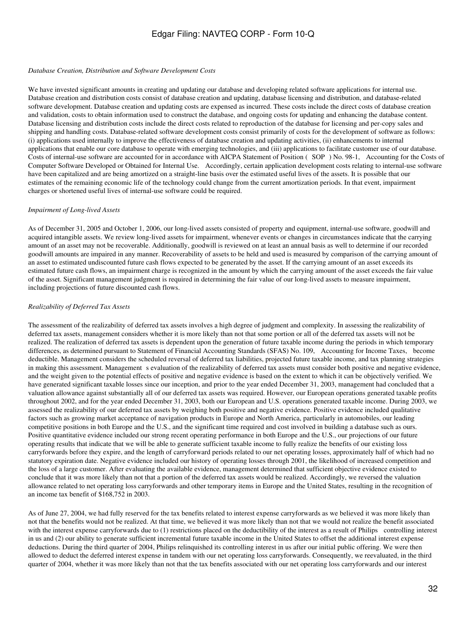#### *Database Creation, Distribution and Software Development Costs*

We have invested significant amounts in creating and updating our database and developing related software applications for internal use. Database creation and distribution costs consist of database creation and updating, database licensing and distribution, and database-related software development. Database creation and updating costs are expensed as incurred. These costs include the direct costs of database creation and validation, costs to obtain information used to construct the database, and ongoing costs for updating and enhancing the database content. Database licensing and distribution costs include the direct costs related to reproduction of the database for licensing and per-copy sales and shipping and handling costs. Database-related software development costs consist primarily of costs for the development of software as follows: (i) applications used internally to improve the effectiveness of database creation and updating activities, (ii) enhancements to internal applications that enable our core database to operate with emerging technologies, and (iii) applications to facilitate customer use of our database. Costs of internal-use software are accounted for in accordance with AICPA Statement of Position (SOP) No. 98-1, Accounting for the Costs of Computer Software Developed or Obtained for Internal Use. Accordingly, certain application development costs relating to internal-use software have been capitalized and are being amortized on a straight-line basis over the estimated useful lives of the assets. It is possible that our estimates of the remaining economic life of the technology could change from the current amortization periods. In that event, impairment charges or shortened useful lives of internal-use software could be required.

#### *Impairment of Long-lived Assets*

As of December 31, 2005 and October 1, 2006, our long-lived assets consisted of property and equipment, internal-use software, goodwill and acquired intangible assets. We review long-lived assets for impairment, whenever events or changes in circumstances indicate that the carrying amount of an asset may not be recoverable. Additionally, goodwill is reviewed on at least an annual basis as well to determine if our recorded goodwill amounts are impaired in any manner. Recoverability of assets to be held and used is measured by comparison of the carrying amount of an asset to estimated undiscounted future cash flows expected to be generated by the asset. If the carrying amount of an asset exceeds its estimated future cash flows, an impairment charge is recognized in the amount by which the carrying amount of the asset exceeds the fair value of the asset. Significant management judgment is required in determining the fair value of our long-lived assets to measure impairment, including projections of future discounted cash flows.

#### *Realizability of Deferred Tax Assets*

The assessment of the realizability of deferred tax assets involves a high degree of judgment and complexity. In assessing the realizability of deferred tax assets, management considers whether it is more likely than not that some portion or all of the deferred tax assets will not be realized. The realization of deferred tax assets is dependent upon the generation of future taxable income during the periods in which temporary differences, as determined pursuant to Statement of Financial Accounting Standards (SFAS) No. 109, Accounting for Income Taxes, become deductible. Management considers the scheduled reversal of deferred tax liabilities, projected future taxable income, and tax planning strategies in making this assessment. Management s evaluation of the realizability of deferred tax assets must consider both positive and negative evidence, and the weight given to the potential effects of positive and negative evidence is based on the extent to which it can be objectively verified. We have generated significant taxable losses since our inception, and prior to the year ended December 31, 2003, management had concluded that a valuation allowance against substantially all of our deferred tax assets was required. However, our European operations generated taxable profits throughout 2002, and for the year ended December 31, 2003, both our European and U.S. operations generated taxable income. During 2003, we assessed the realizability of our deferred tax assets by weighing both positive and negative evidence. Positive evidence included qualitative factors such as growing market acceptance of navigation products in Europe and North America, particularly in automobiles, our leading competitive positions in both Europe and the U.S., and the significant time required and cost involved in building a database such as ours. Positive quantitative evidence included our strong recent operating performance in both Europe and the U.S., our projections of our future operating results that indicate that we will be able to generate sufficient taxable income to fully realize the benefits of our existing loss carryforwards before they expire, and the length of carryforward periods related to our net operating losses, approximately half of which had no statutory expiration date. Negative evidence included our history of operating losses through 2001, the likelihood of increased competition and the loss of a large customer. After evaluating the available evidence, management determined that sufficient objective evidence existed to conclude that it was more likely than not that a portion of the deferred tax assets would be realized. Accordingly, we reversed the valuation allowance related to net operating loss carryforwards and other temporary items in Europe and the United States, resulting in the recognition of an income tax benefit of \$168,752 in 2003.

As of June 27, 2004, we had fully reserved for the tax benefits related to interest expense carryforwards as we believed it was more likely than not that the benefits would not be realized. At that time, we believed it was more likely than not that we would not realize the benefit associated with the interest expense carryforwards due to (1) restrictions placed on the deductibility of the interest as a result of Philips controlling interest in us and (2) our ability to generate sufficient incremental future taxable income in the United States to offset the additional interest expense deductions. During the third quarter of 2004, Philips relinquished its controlling interest in us after our initial public offering. We were then allowed to deduct the deferred interest expense in tandem with our net operating loss carryforwards. Consequently, we reevaluated, in the third quarter of 2004, whether it was more likely than not that the tax benefits associated with our net operating loss carryforwards and our interest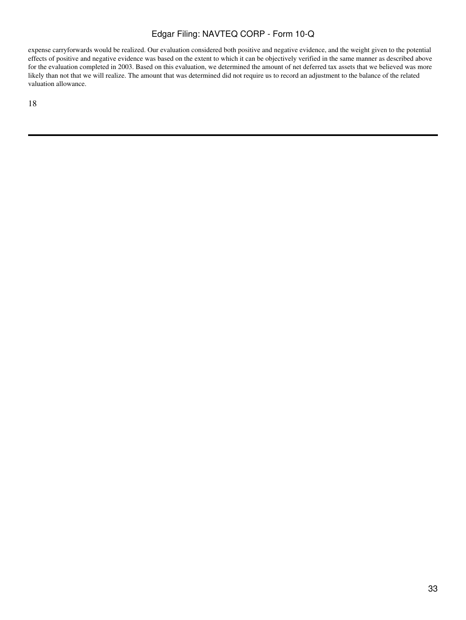expense carryforwards would be realized. Our evaluation considered both positive and negative evidence, and the weight given to the potential effects of positive and negative evidence was based on the extent to which it can be objectively verified in the same manner as described above for the evaluation completed in 2003. Based on this evaluation, we determined the amount of net deferred tax assets that we believed was more likely than not that we will realize. The amount that was determined did not require us to record an adjustment to the balance of the related valuation allowance.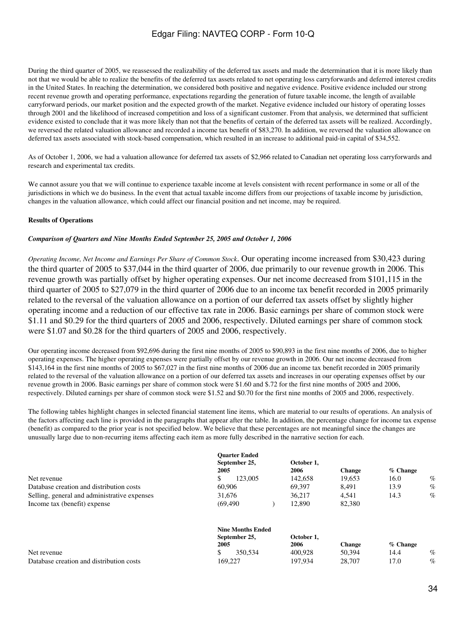During the third quarter of 2005, we reassessed the realizability of the deferred tax assets and made the determination that it is more likely than not that we would be able to realize the benefits of the deferred tax assets related to net operating loss carryforwards and deferred interest credits in the United States. In reaching the determination, we considered both positive and negative evidence. Positive evidence included our strong recent revenue growth and operating performance, expectations regarding the generation of future taxable income, the length of available carryforward periods, our market position and the expected growth of the market. Negative evidence included our history of operating losses through 2001 and the likelihood of increased competition and loss of a significant customer. From that analysis, we determined that sufficient evidence existed to conclude that it was more likely than not that the benefits of certain of the deferred tax assets will be realized. Accordingly, we reversed the related valuation allowance and recorded a income tax benefit of \$83,270. In addition, we reversed the valuation allowance on deferred tax assets associated with stock-based compensation, which resulted in an increase to additional paid-in capital of \$34,552.

As of October 1, 2006, we had a valuation allowance for deferred tax assets of \$2,966 related to Canadian net operating loss carryforwards and research and experimental tax credits.

We cannot assure you that we will continue to experience taxable income at levels consistent with recent performance in some or all of the jurisdictions in which we do business. In the event that actual taxable income differs from our projections of taxable income by jurisdiction, changes in the valuation allowance, which could affect our financial position and net income, may be required.

### **Results of Operations**

### *Comparison of Quarters and Nine Months Ended September 25, 2005 and October 1, 2006*

*Operating Income, Net Income and Earnings Per Share of Common Stock*. Our operating income increased from \$30,423 during the third quarter of 2005 to \$37,044 in the third quarter of 2006, due primarily to our revenue growth in 2006. This revenue growth was partially offset by higher operating expenses. Our net income decreased from \$101,115 in the third quarter of 2005 to \$27,079 in the third quarter of 2006 due to an income tax benefit recorded in 2005 primarily related to the reversal of the valuation allowance on a portion of our deferred tax assets offset by slightly higher operating income and a reduction of our effective tax rate in 2006. Basic earnings per share of common stock were \$1.11 and \$0.29 for the third quarters of 2005 and 2006, respectively. Diluted earnings per share of common stock were \$1.07 and \$0.28 for the third quarters of 2005 and 2006, respectively.

Our operating income decreased from \$92,696 during the first nine months of 2005 to \$90,893 in the first nine months of 2006, due to higher operating expenses. The higher operating expenses were partially offset by our revenue growth in 2006. Our net income decreased from \$143,164 in the first nine months of 2005 to \$67,027 in the first nine months of 2006 due an income tax benefit recorded in 2005 primarily related to the reversal of the valuation allowance on a portion of our deferred tax assets and increases in our operating expenses offset by our revenue growth in 2006. Basic earnings per share of common stock were \$1.60 and \$.72 for the first nine months of 2005 and 2006, respectively. Diluted earnings per share of common stock were \$1.52 and \$0.70 for the first nine months of 2005 and 2006, respectively.

The following tables highlight changes in selected financial statement line items, which are material to our results of operations. An analysis of the factors affecting each line is provided in the paragraphs that appear after the table. In addition, the percentage change for income tax expense (benefit) as compared to the prior year is not specified below. We believe that these percentages are not meaningful since the changes are unusually large due to non-recurring items affecting each item as more fully described in the narrative section for each.

|                                                        | <b>Ouarter Ended</b>     |                    |               |            |      |
|--------------------------------------------------------|--------------------------|--------------------|---------------|------------|------|
|                                                        | September 25,            | October 1.         |               |            |      |
| 2005                                                   |                          | 2006               | <b>Change</b> | $%$ Change |      |
| Net revenue                                            | 123,005                  | 142,658            | 19.653        | 16.0       | $\%$ |
| 60,906<br>Database creation and distribution costs     |                          | 69.397             | 8.491         | 13.9       | $\%$ |
| Selling, general and administrative expenses<br>31.676 |                          | 36.217             | 4.541         | 14.3       | $\%$ |
| Income tax (benefit) expense                           | (69, 490)                | 12.890             | 82,380        |            |      |
|                                                        | <b>Nine Months Ended</b> |                    |               |            |      |
| 2005                                                   | September 25,            | October 1,<br>2006 | <b>Change</b> | $%$ Change |      |
| \$<br>Net revenue                                      | 350.534                  | 400.928            | 50.394        | 14.4       | %    |
| Database creation and distribution costs               | 169.227                  | 197.934            | 28,707        | 17.0       | $\%$ |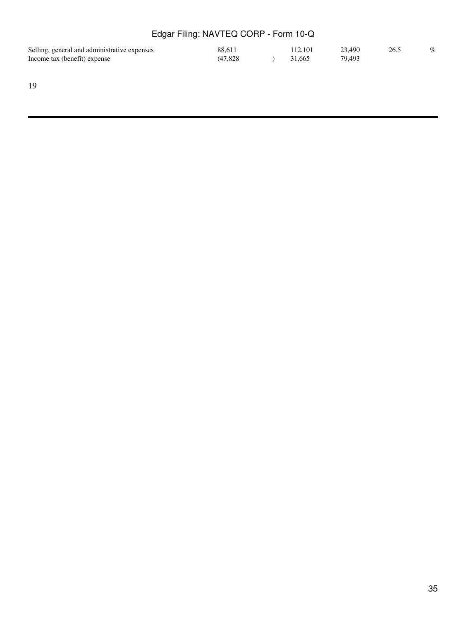| Selling, general and administrative expenses | 88.611   | 112.101 | 23.490 | 26.5 | $\%$ |
|----------------------------------------------|----------|---------|--------|------|------|
| Income tax (benefit) expense                 | (47.828) | 31.665  | 79.493 |      |      |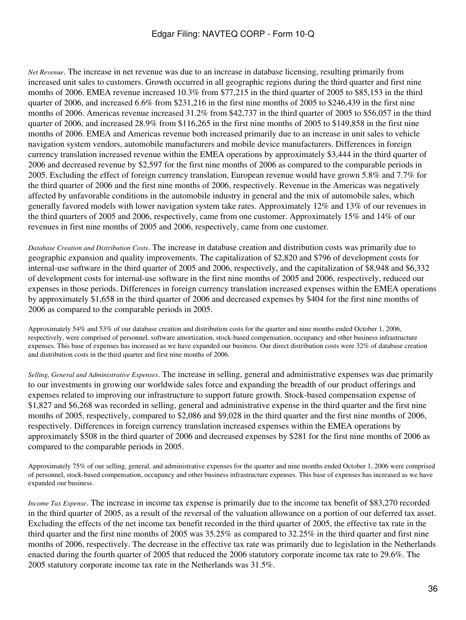*Net Revenue*. The increase in net revenue was due to an increase in database licensing, resulting primarily from increased unit sales to customers. Growth occurred in all geographic regions during the third quarter and first nine months of 2006. EMEA revenue increased 10.3% from \$77,215 in the third quarter of 2005 to \$85,153 in the third quarter of 2006, and increased 6.6% from \$231,216 in the first nine months of 2005 to \$246,439 in the first nine months of 2006. Americas revenue increased 31.2% from \$42,737 in the third quarter of 2005 to \$56,057 in the third quarter of 2006, and increased 28.9% from \$116,265 in the first nine months of 2005 to \$149,858 in the first nine months of 2006. EMEA and Americas revenue both increased primarily due to an increase in unit sales to vehicle navigation system vendors, automobile manufacturers and mobile device manufacturers. Differences in foreign currency translation increased revenue within the EMEA operations by approximately \$3,444 in the third quarter of 2006 and decreased revenue by \$2,597 for the first nine months of 2006 as compared to the comparable periods in 2005. Excluding the effect of foreign currency translation, European revenue would have grown 5.8% and 7.7% for the third quarter of 2006 and the first nine months of 2006, respectively. Revenue in the Americas was negatively affected by unfavorable conditions in the automobile industry in general and the mix of automobile sales, which generally favored models with lower navigation system take rates. Approximately 12% and 13% of our revenues in the third quarters of 2005 and 2006, respectively, came from one customer. Approximately 15% and 14% of our revenues in first nine months of 2005 and 2006, respectively, came from one customer.

*Database Creation and Distribution Costs*. The increase in database creation and distribution costs was primarily due to geographic expansion and quality improvements. The capitalization of \$2,820 and \$796 of development costs for internal-use software in the third quarter of 2005 and 2006, respectively, and the capitalization of \$8,948 and \$6,332 of development costs for internal-use software in the first nine months of 2005 and 2006, respectively, reduced our expenses in those periods. Differences in foreign currency translation increased expenses within the EMEA operations by approximately \$1,658 in the third quarter of 2006 and decreased expenses by \$404 for the first nine months of 2006 as compared to the comparable periods in 2005.

Approximately 54% and 53% of our database creation and distribution costs for the quarter and nine months ended October 1, 2006, respectively, were comprised of personnel, software amortization, stock-based compensation, occupancy and other business infrastructure expenses. This base of expenses has increased as we have expanded our business. Our direct distribution costs were 32% of database creation and distribution costs in the third quarter and first nine months of 2006.

*Selling, General and Administrative Expenses*. The increase in selling, general and administrative expenses was due primarily to our investments in growing our worldwide sales force and expanding the breadth of our product offerings and expenses related to improving our infrastructure to support future growth. Stock-based compensation expense of \$1,827 and \$6,268 was recorded in selling, general and administrative expense in the third quarter and the first nine months of 2005, respectively, compared to \$2,086 and \$9,028 in the third quarter and the first nine months of 2006, respectively. Differences in foreign currency translation increased expenses within the EMEA operations by approximately \$508 in the third quarter of 2006 and decreased expenses by \$281 for the first nine months of 2006 as compared to the comparable periods in 2005.

Approximately 75% of our selling, general, and administrative expenses for the quarter and nine months ended October 1, 2006 were comprised of personnel, stock-based compensation, occupancy and other business infrastructure expenses. This base of expenses has increased as we have expanded our business.

*Income Tax Expense*. The increase in income tax expense is primarily due to the income tax benefit of \$83,270 recorded in the third quarter of 2005, as a result of the reversal of the valuation allowance on a portion of our deferred tax asset. Excluding the effects of the net income tax benefit recorded in the third quarter of 2005, the effective tax rate in the third quarter and the first nine months of 2005 was 35.25% as compared to 32.25% in the third quarter and first nine months of 2006, respectively. The decrease in the effective tax rate was primarily due to legislation in the Netherlands enacted during the fourth quarter of 2005 that reduced the 2006 statutory corporate income tax rate to 29.6%. The 2005 statutory corporate income tax rate in the Netherlands was 31.5%.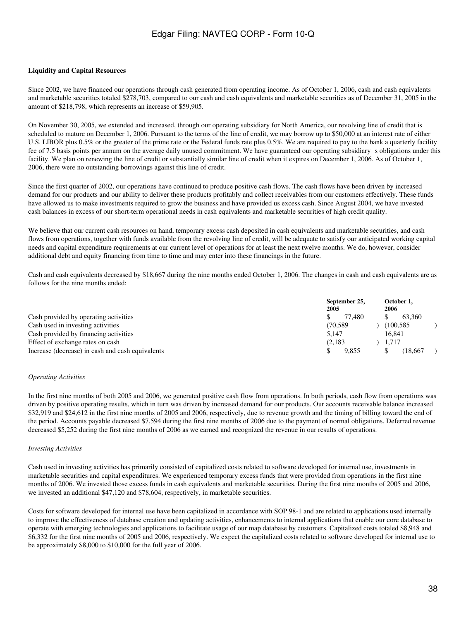### **Liquidity and Capital Resources**

Since 2002, we have financed our operations through cash generated from operating income. As of October 1, 2006, cash and cash equivalents and marketable securities totaled \$278,703, compared to our cash and cash equivalents and marketable securities as of December 31, 2005 in the amount of \$218,798, which represents an increase of \$59,905.

On November 30, 2005, we extended and increased, through our operating subsidiary for North America, our revolving line of credit that is scheduled to mature on December 1, 2006. Pursuant to the terms of the line of credit, we may borrow up to \$50,000 at an interest rate of either U.S. LIBOR plus 0.5% or the greater of the prime rate or the Federal funds rate plus 0.5%. We are required to pay to the bank a quarterly facility fee of 7.5 basis points per annum on the average daily unused commitment. We have guaranteed our operating subsidiarys obligations under this facility. We plan on renewing the line of credit or substantially similar line of credit when it expires on December 1, 2006. As of October 1, 2006, there were no outstanding borrowings against this line of credit.

Since the first quarter of 2002, our operations have continued to produce positive cash flows. The cash flows have been driven by increased demand for our products and our ability to deliver these products profitably and collect receivables from our customers effectively. These funds have allowed us to make investments required to grow the business and have provided us excess cash. Since August 2004, we have invested cash balances in excess of our short-term operational needs in cash equivalents and marketable securities of high credit quality.

We believe that our current cash resources on hand, temporary excess cash deposited in cash equivalents and marketable securities, and cash flows from operations, together with funds available from the revolving line of credit, will be adequate to satisfy our anticipated working capital needs and capital expenditure requirements at our current level of operations for at least the next twelve months. We do, however, consider additional debt and equity financing from time to time and may enter into these financings in the future.

Cash and cash equivalents decreased by \$18,667 during the nine months ended October 1, 2006. The changes in cash and cash equivalents are as follows for the nine months ended:

|                                                  | September 25,<br>2005 | October 1,<br>2006 |
|--------------------------------------------------|-----------------------|--------------------|
| Cash provided by operating activities            | 77.480                | 63.360             |
| Cash used in investing activities                | (70.589               | (100.585           |
| Cash provided by financing activities            | 5.147                 | 16.841             |
| Effect of exchange rates on cash                 | (2,183)               | 1.717              |
| Increase (decrease) in cash and cash equivalents | 9.855                 | (18.667            |

#### *Operating Activities*

In the first nine months of both 2005 and 2006, we generated positive cash flow from operations. In both periods, cash flow from operations was driven by positive operating results, which in turn was driven by increased demand for our products. Our accounts receivable balance increased \$32,919 and \$24,612 in the first nine months of 2005 and 2006, respectively, due to revenue growth and the timing of billing toward the end of the period. Accounts payable decreased \$7,594 during the first nine months of 2006 due to the payment of normal obligations. Deferred revenue decreased \$5,252 during the first nine months of 2006 as we earned and recognized the revenue in our results of operations.

#### *Investing Activities*

Cash used in investing activities has primarily consisted of capitalized costs related to software developed for internal use, investments in marketable securities and capital expenditures. We experienced temporary excess funds that were provided from operations in the first nine months of 2006. We invested those excess funds in cash equivalents and marketable securities. During the first nine months of 2005 and 2006, we invested an additional \$47,120 and \$78,604, respectively, in marketable securities.

Costs for software developed for internal use have been capitalized in accordance with SOP 98-1 and are related to applications used internally to improve the effectiveness of database creation and updating activities, enhancements to internal applications that enable our core database to operate with emerging technologies and applications to facilitate usage of our map database by customers. Capitalized costs totaled \$8,948 and \$6,332 for the first nine months of 2005 and 2006, respectively. We expect the capitalized costs related to software developed for internal use to be approximately \$8,000 to \$10,000 for the full year of 2006.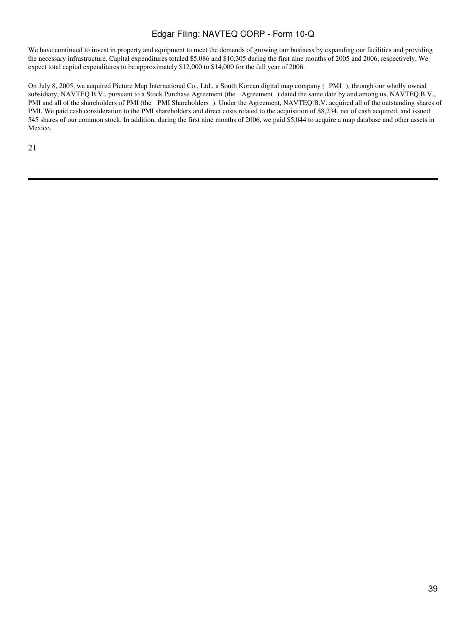We have continued to invest in property and equipment to meet the demands of growing our business by expanding our facilities and providing the necessary infrastructure. Capital expenditures totaled \$5,086 and \$10,305 during the first nine months of 2005 and 2006, respectively. We expect total capital expenditures to be approximately \$12,000 to \$14,000 for the full year of 2006.

On July 8, 2005, we acquired Picture Map International Co., Ltd., a South Korean digital map company (PMI), through our wholly owned subsidiary, NAVTEQ B.V., pursuant to a Stock Purchase Agreement (the Agreement) dated the same date by and among us, NAVTEQ B.V., PMI and all of the shareholders of PMI (the PMI Shareholders). Under the Agreement, NAVTEQ B.V. acquired all of the outstanding shares of PMI. We paid cash consideration to the PMI shareholders and direct costs related to the acquisition of \$8,234, net of cash acquired, and issued 545 shares of our common stock. In addition, during the first nine months of 2006, we paid \$5,044 to acquire a map database and other assets in Mexico.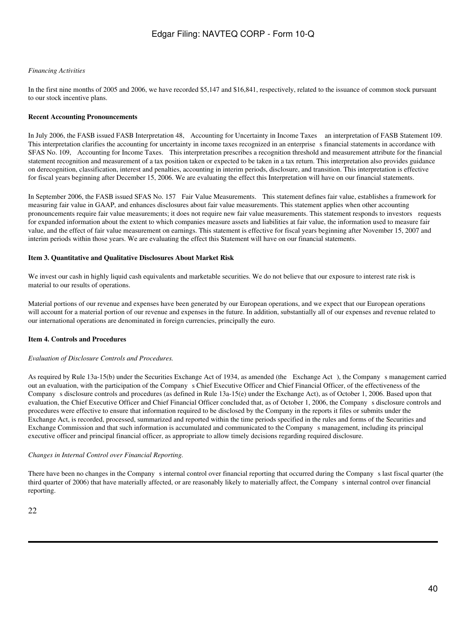### *Financing Activities*

In the first nine months of 2005 and 2006, we have recorded \$5,147 and \$16,841, respectively, related to the issuance of common stock pursuant to our stock incentive plans.

### **Recent Accounting Pronouncements**

In July 2006, the FASB issued FASB Interpretation 48, Accounting for Uncertainty in Income Taxes an interpretation of FASB Statement 109. This interpretation clarifies the accounting for uncertainty in income taxes recognized in an enterprise s financial statements in accordance with SFAS No. 109, Accounting for Income Taxes. This interpretation prescribes a recognition threshold and measurement attribute for the financial statement recognition and measurement of a tax position taken or expected to be taken in a tax return. This interpretation also provides guidance on derecognition, classification, interest and penalties, accounting in interim periods, disclosure, and transition. This interpretation is effective for fiscal years beginning after December 15, 2006. We are evaluating the effect this Interpretation will have on our financial statements.

In September 2006, the FASB issued SFAS No. 157 Fair Value Measurements. This statement defines fair value, establishes a framework for measuring fair value in GAAP, and enhances disclosures about fair value measurements. This statement applies when other accounting pronouncements require fair value measurements; it does not require new fair value measurements. This statement responds to investors requests for expanded information about the extent to which companies measure assets and liabilities at fair value, the information used to measure fair value, and the effect of fair value measurement on earnings. This statement is effective for fiscal years beginning after November 15, 2007 and interim periods within those years. We are evaluating the effect this Statement will have on our financial statements.

### **Item 3. Quantitative and Qualitative Disclosures About Market Risk**

We invest our cash in highly liquid cash equivalents and marketable securities. We do not believe that our exposure to interest rate risk is material to our results of operations.

Material portions of our revenue and expenses have been generated by our European operations, and we expect that our European operations will account for a material portion of our revenue and expenses in the future. In addition, substantially all of our expenses and revenue related to our international operations are denominated in foreign currencies, principally the euro.

### **Item 4. Controls and Procedures**

### *Evaluation of Disclosure Controls and Procedures.*

As required by Rule 13a-15(b) under the Securities Exchange Act of 1934, as amended (the Exchange Act), the Company s management carried out an evaluation, with the participation of the Companys Chief Executive Officer and Chief Financial Officer, of the effectiveness of the Companys disclosure controls and procedures (as defined in Rule 13a-15(e) under the Exchange Act), as of October 1, 2006. Based upon that evaluation, the Chief Executive Officer and Chief Financial Officer concluded that, as of October 1, 2006, the Company s disclosure controls and procedures were effective to ensure that information required to be disclosed by the Company in the reports it files or submits under the Exchange Act, is recorded, processed, summarized and reported within the time periods specified in the rules and forms of the Securities and Exchange Commission and that such information is accumulated and communicated to the Companys management, including its principal executive officer and principal financial officer, as appropriate to allow timely decisions regarding required disclosure.

### *Changes in Internal Control over Financial Reporting.*

There have been no changes in the Company s internal control over financial reporting that occurred during the Company s last fiscal quarter (the third quarter of 2006) that have materially affected, or are reasonably likely to materially affect, the Companys internal control over financial reporting.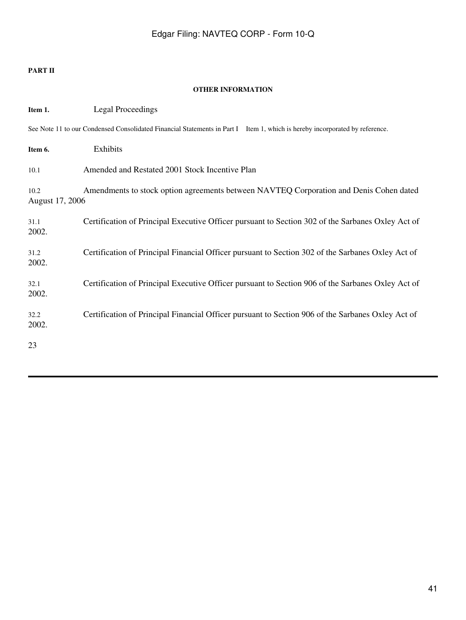### **PART II**

### **OTHER INFORMATION**

| Item 1.                 | <b>Legal Proceedings</b>                                                                                                    |
|-------------------------|-----------------------------------------------------------------------------------------------------------------------------|
|                         | See Note 11 to our Condensed Consolidated Financial Statements in Part I Item 1, which is hereby incorporated by reference. |
| Item 6.                 | Exhibits                                                                                                                    |
| 10.1                    | Amended and Restated 2001 Stock Incentive Plan                                                                              |
| 10.2<br>August 17, 2006 | Amendments to stock option agreements between NAVTEQ Corporation and Denis Cohen dated                                      |
| 31.1<br>2002.           | Certification of Principal Executive Officer pursuant to Section 302 of the Sarbanes Oxley Act of                           |
| 31.2<br>2002.           | Certification of Principal Financial Officer pursuant to Section 302 of the Sarbanes Oxley Act of                           |
| 32.1<br>2002.           | Certification of Principal Executive Officer pursuant to Section 906 of the Sarbanes Oxley Act of                           |
| 32.2<br>2002.           | Certification of Principal Financial Officer pursuant to Section 906 of the Sarbanes Oxley Act of                           |
| 23                      |                                                                                                                             |